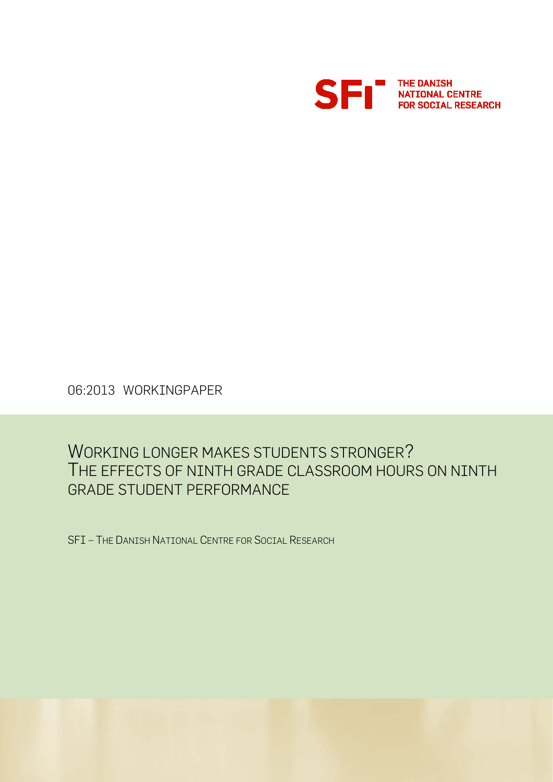

06:2013 WORKINGPAPER

## WORKING LONGER MAKES STUDENTS STRONGER? THE EFFECTS OF NINTH GRADE CLASSROOM HOURS ON NINTH GRADE STUDENT PERFORMANCE

SFI – THE DANISH NATIONAL CENTRE FOR SOCIAL RESEARCH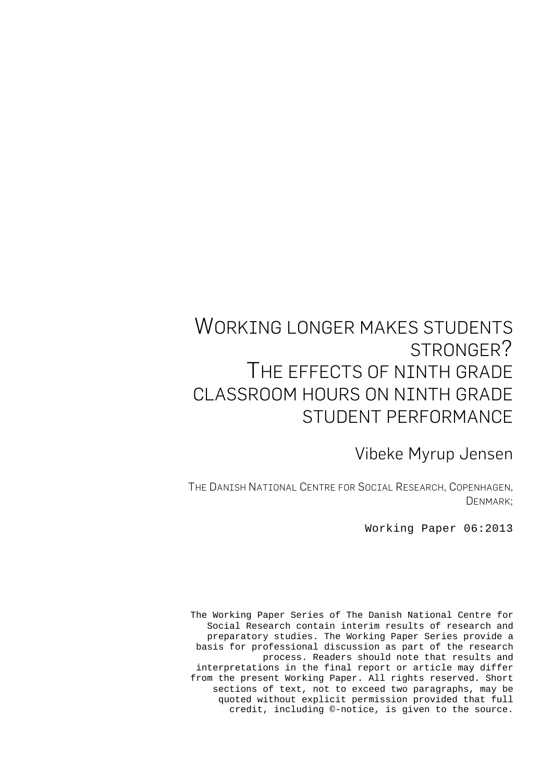# WORKING LONGER MAKES STUDENTS STRONGER? THE EFFECTS OF NINTH GRADE CLASSROOM HOURS ON NINTH GRADE STUDENT PERFORMANCE

Vibeke Myrup Jensen

THE DANISH NATIONAL CENTRE FOR SOCIAL RESEARCH, COPENHAGEN, DENMARK;

Working Paper 06:2013

The Working Paper Series of The Danish National Centre for Social Research contain interim results of research and preparatory studies. The Working Paper Series provide a basis for professional discussion as part of the research process. Readers should note that results and interpretations in the final report or article may differ from the present Working Paper. All rights reserved. Short sections of text, not to exceed two paragraphs, may be quoted without explicit permission provided that full credit, including ©-notice, is given to the source.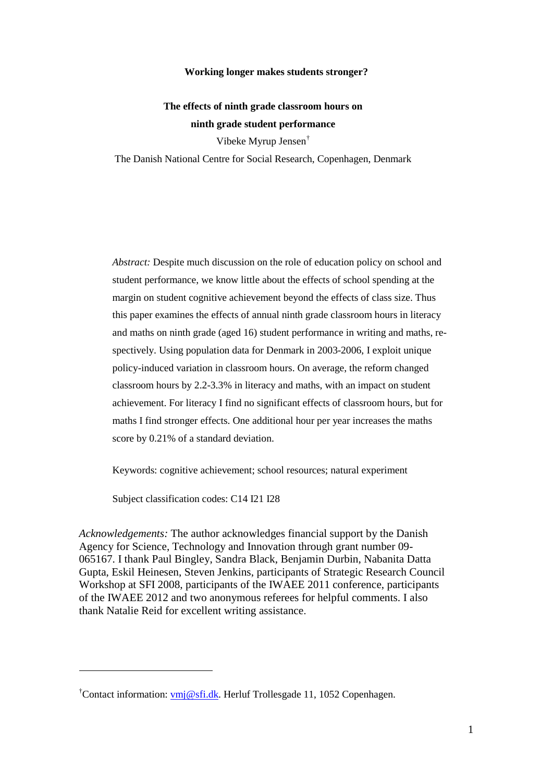#### **Working longer makes students stronger?**

## **The effects of ninth grade classroom hours on ninth grade student performance**

Vibeke Myrup Jensen[†](#page-2-0)

The Danish National Centre for Social Research, Copenhagen, Denmark

*Abstract:* Despite much discussion on the role of education policy on school and student performance, we know little about the effects of school spending at the margin on student cognitive achievement beyond the effects of class size. Thus this paper examines the effects of annual ninth grade classroom hours in literacy and maths on ninth grade (aged 16) student performance in writing and maths, respectively. Using population data for Denmark in 2003-2006, I exploit unique policy-induced variation in classroom hours. On average, the reform changed classroom hours by 2.2-3.3% in literacy and maths, with an impact on student achievement. For literacy I find no significant effects of classroom hours, but for maths I find stronger effects. One additional hour per year increases the maths score by 0.21% of a standard deviation.

Keywords: cognitive achievement; school resources; natural experiment

Subject classification codes: C14 I21 I28

 $\overline{a}$ 

*Acknowledgements:* The author acknowledges financial support by the Danish Agency for Science, Technology and Innovation through grant number 09- 065167. I thank Paul Bingley, Sandra Black, Benjamin Durbin, Nabanita Datta Gupta, Eskil Heinesen, Steven Jenkins, participants of Strategic Research Council Workshop at SFI 2008, participants of the IWAEE 2011 conference, participants of the IWAEE 2012 and two anonymous referees for helpful comments. I also thank Natalie Reid for excellent writing assistance.

<span id="page-2-0"></span><sup>&</sup>lt;sup>†</sup>Contact information: [vmj@sfi.dk.](mailto:vmj@sfi.dk) Herluf Trollesgade 11, 1052 Copenhagen.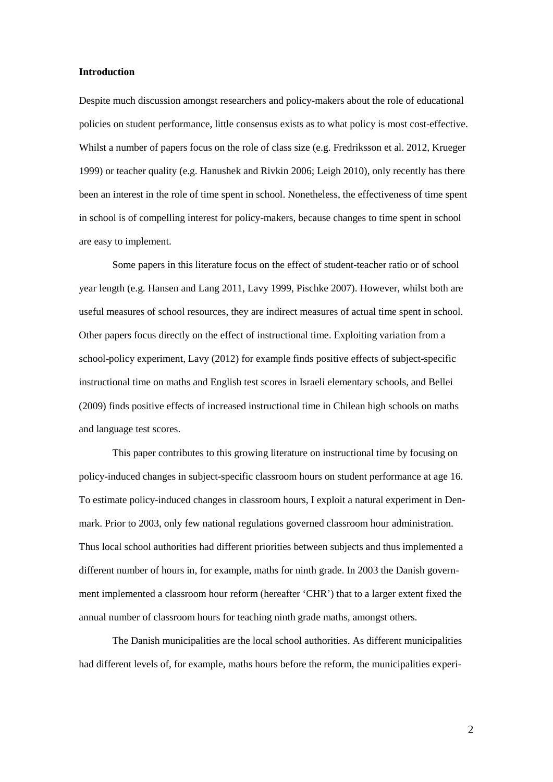#### **Introduction**

Despite much discussion amongst researchers and policy-makers about the role of educational policies on student performance, little consensus exists as to what policy is most cost-effective. Whilst a number of papers focus on the role of class size (e.g. Fredriksson et al. 2012, Krueger 1999) or teacher quality (e.g. Hanushek and Rivkin 2006; Leigh 2010), only recently has there been an interest in the role of time spent in school. Nonetheless, the effectiveness of time spent in school is of compelling interest for policy-makers, because changes to time spent in school are easy to implement.

Some papers in this literature focus on the effect of student-teacher ratio or of school year length (e.g. Hansen and Lang 2011, Lavy 1999, Pischke 2007). However, whilst both are useful measures of school resources, they are indirect measures of actual time spent in school. Other papers focus directly on the effect of instructional time. Exploiting variation from a school-policy experiment, Lavy (2012) for example finds positive effects of subject-specific instructional time on maths and English test scores in Israeli elementary schools, and Bellei (2009) finds positive effects of increased instructional time in Chilean high schools on maths and language test scores.

This paper contributes to this growing literature on instructional time by focusing on policy-induced changes in subject-specific classroom hours on student performance at age 16. To estimate policy-induced changes in classroom hours, I exploit a natural experiment in Denmark. Prior to 2003, only few national regulations governed classroom hour administration. Thus local school authorities had different priorities between subjects and thus implemented a different number of hours in, for example, maths for ninth grade. In 2003 the Danish government implemented a classroom hour reform (hereafter 'CHR') that to a larger extent fixed the annual number of classroom hours for teaching ninth grade maths, amongst others.

The Danish municipalities are the local school authorities. As different municipalities had different levels of, for example, maths hours before the reform, the municipalities experi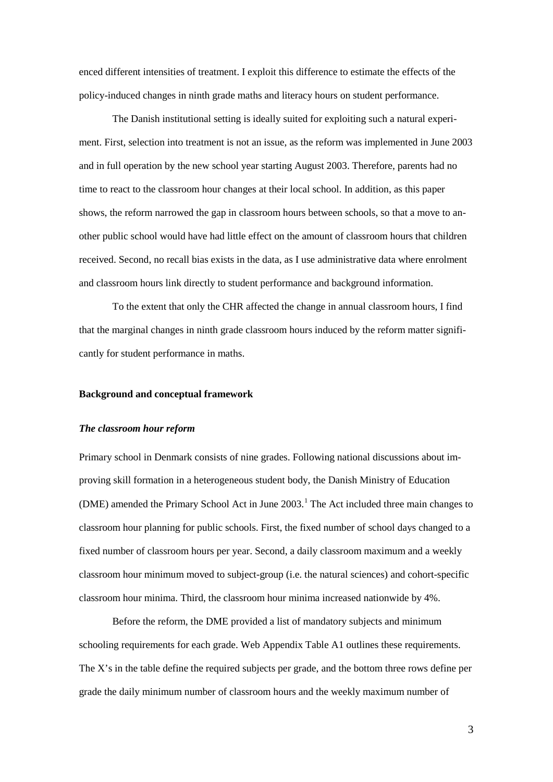enced different intensities of treatment. I exploit this difference to estimate the effects of the policy-induced changes in ninth grade maths and literacy hours on student performance.

The Danish institutional setting is ideally suited for exploiting such a natural experiment. First, selection into treatment is not an issue, as the reform was implemented in June 2003 and in full operation by the new school year starting August 2003. Therefore, parents had no time to react to the classroom hour changes at their local school. In addition, as this paper shows, the reform narrowed the gap in classroom hours between schools, so that a move to another public school would have had little effect on the amount of classroom hours that children received. Second, no recall bias exists in the data, as I use administrative data where enrolment and classroom hours link directly to student performance and background information.

To the extent that only the CHR affected the change in annual classroom hours, I find that the marginal changes in ninth grade classroom hours induced by the reform matter significantly for student performance in maths.

#### **Background and conceptual framework**

#### *The classroom hour reform*

Primary school in Denmark consists of nine grades. Following national discussions about improving skill formation in a heterogeneous student body, the Danish Ministry of Education (DME) amended the Primary School Act in June  $2003<sup>1</sup>$  $2003<sup>1</sup>$  $2003<sup>1</sup>$ . The Act included three main changes to classroom hour planning for public schools. First, the fixed number of school days changed to a fixed number of classroom hours per year. Second, a daily classroom maximum and a weekly classroom hour minimum moved to subject-group (i.e. the natural sciences) and cohort-specific classroom hour minima. Third, the classroom hour minima increased nationwide by 4%.

Before the reform, the DME provided a list of mandatory subjects and minimum schooling requirements for each grade. Web Appendix Table A1 outlines these requirements. The X's in the table define the required subjects per grade, and the bottom three rows define per grade the daily minimum number of classroom hours and the weekly maximum number of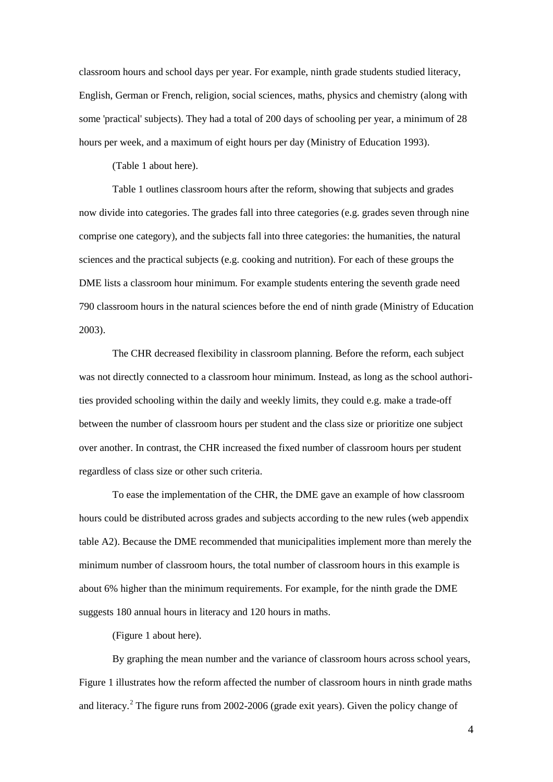classroom hours and school days per year. For example, ninth grade students studied literacy, English, German or French, religion, social sciences, maths, physics and chemistry (along with some 'practical' subjects). They had a total of 200 days of schooling per year, a minimum of 28 hours per week, and a maximum of eight hours per day (Ministry of Education 1993).

(Table 1 about here).

Table 1 outlines classroom hours after the reform, showing that subjects and grades now divide into categories. The grades fall into three categories (e.g. grades seven through nine comprise one category), and the subjects fall into three categories: the humanities, the natural sciences and the practical subjects (e.g. cooking and nutrition). For each of these groups the DME lists a classroom hour minimum. For example students entering the seventh grade need 790 classroom hours in the natural sciences before the end of ninth grade (Ministry of Education 2003).

The CHR decreased flexibility in classroom planning. Before the reform, each subject was not directly connected to a classroom hour minimum. Instead, as long as the school authorities provided schooling within the daily and weekly limits, they could e.g. make a trade-off between the number of classroom hours per student and the class size or prioritize one subject over another. In contrast, the CHR increased the fixed number of classroom hours per student regardless of class size or other such criteria.

To ease the implementation of the CHR, the DME gave an example of how classroom hours could be distributed across grades and subjects according to the new rules (web appendix table A2). Because the DME recommended that municipalities implement more than merely the minimum number of classroom hours, the total number of classroom hours in this example is about 6% higher than the minimum requirements. For example, for the ninth grade the DME suggests 180 annual hours in literacy and 120 hours in maths.

(Figure 1 about here).

By graphing the mean number and the variance of classroom hours across school years, Figure 1 illustrates how the reform affected the number of classroom hours in ninth grade maths and literacy.<sup>[2](#page-18-1)</sup> The figure runs from 2002-2006 (grade exit years). Given the policy change of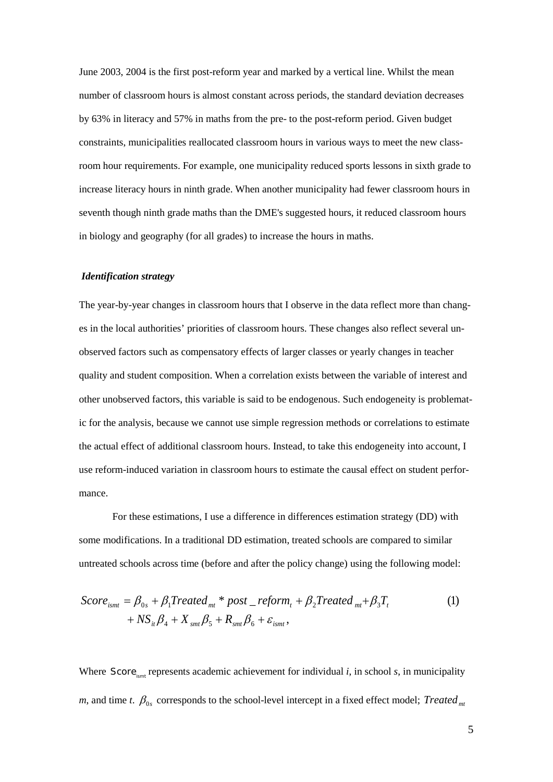June 2003, 2004 is the first post-reform year and marked by a vertical line. Whilst the mean number of classroom hours is almost constant across periods, the standard deviation decreases by 63% in literacy and 57% in maths from the pre- to the post-reform period. Given budget constraints, municipalities reallocated classroom hours in various ways to meet the new classroom hour requirements. For example, one municipality reduced sports lessons in sixth grade to increase literacy hours in ninth grade. When another municipality had fewer classroom hours in seventh though ninth grade maths than the DME's suggested hours, it reduced classroom hours in biology and geography (for all grades) to increase the hours in maths.

#### *Identification strategy*

The year-by-year changes in classroom hours that I observe in the data reflect more than changes in the local authorities' priorities of classroom hours. These changes also reflect several unobserved factors such as compensatory effects of larger classes or yearly changes in teacher quality and student composition. When a correlation exists between the variable of interest and other unobserved factors, this variable is said to be endogenous. Such endogeneity is problematic for the analysis, because we cannot use simple regression methods or correlations to estimate the actual effect of additional classroom hours. Instead, to take this endogeneity into account, I use reform-induced variation in classroom hours to estimate the causal effect on student performance.

For these estimations, I use a difference in differences estimation strategy (DD) with some modifications. In a traditional DD estimation, treated schools are compared to similar untreated schools across time (before and after the policy change) using the following model:

$$
Score_{ismt} = \beta_{0s} + \beta_1 Treated_{mt} * post\_reform_t + \beta_2 Treated_{mt} + \beta_3 T_t
$$
  
+ 
$$
NS_{it}\beta_4 + X_{smt}\beta_5 + R_{smt}\beta_6 + \varepsilon_{ismt},
$$
 (1)

Where *Score*<sub>son</sub> represents academic achievement for individual *i*, in school *s*, in municipality *m*, and time *t*.  $\beta_{0s}$  corresponds to the school-level intercept in a fixed effect model; *Treated*  $_{mt}$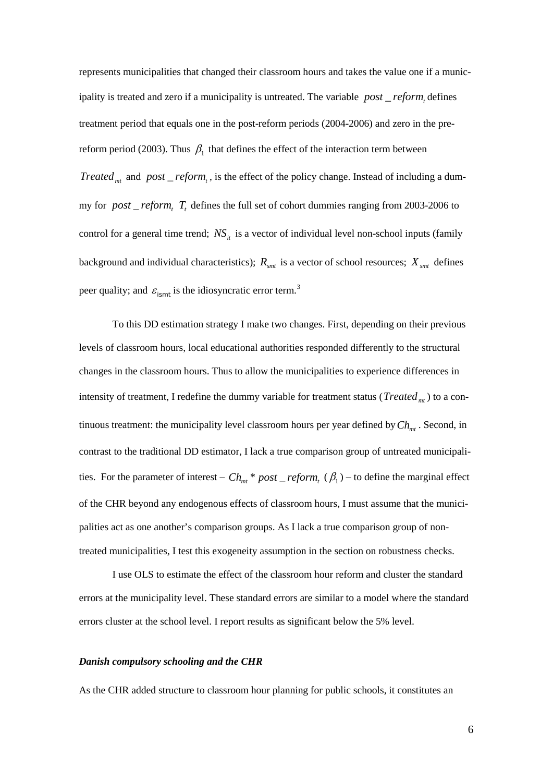represents municipalities that changed their classroom hours and takes the value one if a municipality is treated and zero if a municipality is untreated. The variable *post* \_ *reform*, defines treatment period that equals one in the post-reform periods (2004-2006) and zero in the prereform period (2003). Thus  $\beta_1$  that defines the effect of the interaction term between *Treated*  $_{mt}$  and  $post\_reform_t$ , is the effect of the policy change. Instead of including a dummy for  $post\_reform$ ,  $T_t$  defines the full set of cohort dummies ranging from 2003-2006 to control for a general time trend;  $NS_{it}$  is a vector of individual level non-school inputs (family background and individual characteristics);  $R_{\text{3nd}}$  is a vector of school resources;  $X_{\text{3nd}}$  defines peer quality; and  $\varepsilon_{\text{ismt}}$  is the idiosyncratic error term.<sup>[3](#page-19-0)</sup>

To this DD estimation strategy I make two changes. First, depending on their previous levels of classroom hours, local educational authorities responded differently to the structural changes in the classroom hours. Thus to allow the municipalities to experience differences in intensity of treatment, I redefine the dummy variable for treatment status (*Treated*  $_m$ ) to a continuous treatment: the municipality level classroom hours per year defined by  $Ch_{m}$ . Second, in contrast to the traditional DD estimator, I lack a true comparison group of untreated municipalities. For the parameter of interest –  $Ch_{mt} * post\_reform_t (\beta_1)$  – to define the marginal effect of the CHR beyond any endogenous effects of classroom hours, I must assume that the municipalities act as one another's comparison groups. As I lack a true comparison group of nontreated municipalities, I test this exogeneity assumption in the section on robustness checks.

I use OLS to estimate the effect of the classroom hour reform and cluster the standard errors at the municipality level. These standard errors are similar to a model where the standard errors cluster at the school level. I report results as significant below the 5% level.

#### *Danish compulsory schooling and the CHR*

As the CHR added structure to classroom hour planning for public schools, it constitutes an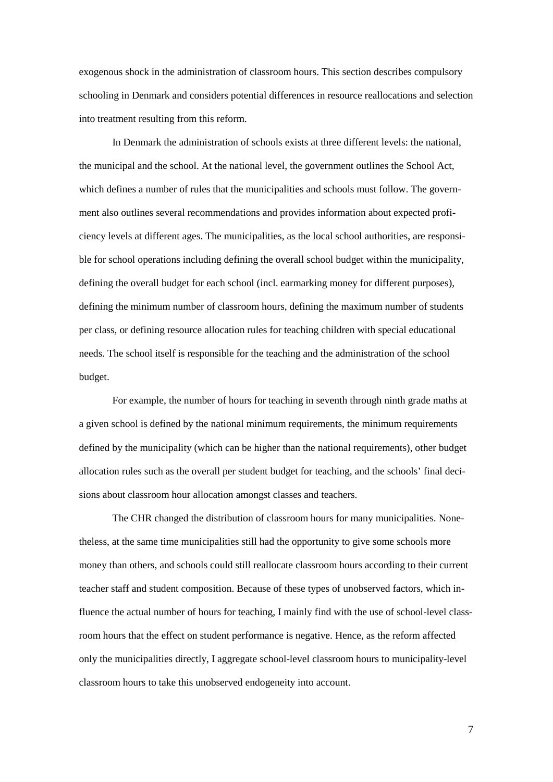exogenous shock in the administration of classroom hours. This section describes compulsory schooling in Denmark and considers potential differences in resource reallocations and selection into treatment resulting from this reform.

In Denmark the administration of schools exists at three different levels: the national, the municipal and the school. At the national level, the government outlines the School Act, which defines a number of rules that the municipalities and schools must follow. The government also outlines several recommendations and provides information about expected proficiency levels at different ages. The municipalities, as the local school authorities, are responsible for school operations including defining the overall school budget within the municipality, defining the overall budget for each school (incl. earmarking money for different purposes), defining the minimum number of classroom hours, defining the maximum number of students per class, or defining resource allocation rules for teaching children with special educational needs. The school itself is responsible for the teaching and the administration of the school budget.

For example, the number of hours for teaching in seventh through ninth grade maths at a given school is defined by the national minimum requirements, the minimum requirements defined by the municipality (which can be higher than the national requirements), other budget allocation rules such as the overall per student budget for teaching, and the schools' final decisions about classroom hour allocation amongst classes and teachers.

The CHR changed the distribution of classroom hours for many municipalities. Nonetheless, at the same time municipalities still had the opportunity to give some schools more money than others, and schools could still reallocate classroom hours according to their current teacher staff and student composition. Because of these types of unobserved factors, which influence the actual number of hours for teaching, I mainly find with the use of school-level classroom hours that the effect on student performance is negative. Hence, as the reform affected only the municipalities directly, I aggregate school-level classroom hours to municipality-level classroom hours to take this unobserved endogeneity into account.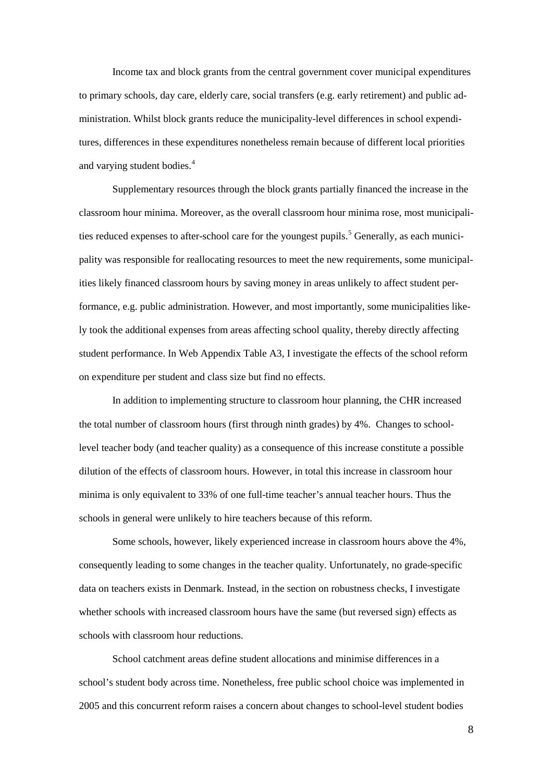Income tax and block grants from the central government cover municipal expenditures to primary schools, day care, elderly care, social transfers (e.g. early retirement) and public administration. Whilst block grants reduce the municipality-level differences in school expenditures, differences in these expenditures nonetheless remain because of different local priorities and varying student bodies.<sup>[4](#page-20-0)</sup>

Supplementary resources through the block grants partially financed the increase in the classroom hour minima. Moreover, as the overall classroom hour minima rose, most municipali-ties reduced expenses to after-school care for the youngest pupils.<sup>[5](#page-20-1)</sup> Generally, as each municipality was responsible for reallocating resources to meet the new requirements, some municipalities likely financed classroom hours by saving money in areas unlikely to affect student performance, e.g. public administration. However, and most importantly, some municipalities likely took the additional expenses from areas affecting school quality, thereby directly affecting student performance. In Web Appendix Table A3, I investigate the effects of the school reform on expenditure per student and class size but find no effects.

In addition to implementing structure to classroom hour planning, the CHR increased the total number of classroom hours (first through ninth grades) by 4%. Changes to schoollevel teacher body (and teacher quality) as a consequence of this increase constitute a possible dilution of the effects of classroom hours. However, in total this increase in classroom hour minima is only equivalent to 33% of one full-time teacher's annual teacher hours. Thus the schools in general were unlikely to hire teachers because of this reform.

Some schools, however, likely experienced increase in classroom hours above the 4%, consequently leading to some changes in the teacher quality. Unfortunately, no grade-specific data on teachers exists in Denmark. Instead, in the section on robustness checks, I investigate whether schools with increased classroom hours have the same (but reversed sign) effects as schools with classroom hour reductions.

School catchment areas define student allocations and minimise differences in a school's student body across time. Nonetheless, free public school choice was implemented in 2005 and this concurrent reform raises a concern about changes to school-level student bodies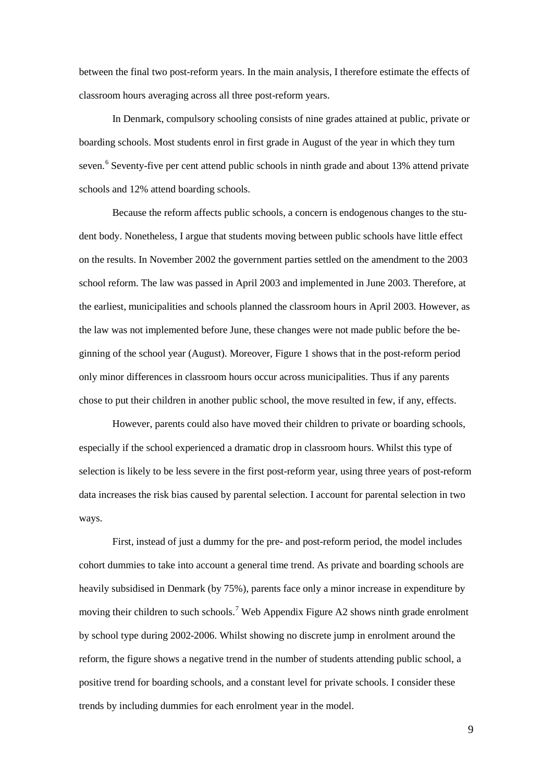between the final two post-reform years. In the main analysis, I therefore estimate the effects of classroom hours averaging across all three post-reform years.

In Denmark, compulsory schooling consists of nine grades attained at public, private or boarding schools. Most students enrol in first grade in August of the year in which they turn seven.<sup>[6](#page-21-0)</sup> Seventy-five per cent attend public schools in ninth grade and about 13% attend private schools and 12% attend boarding schools.

Because the reform affects public schools, a concern is endogenous changes to the student body. Nonetheless, I argue that students moving between public schools have little effect on the results. In November 2002 the government parties settled on the amendment to the 2003 school reform. The law was passed in April 2003 and implemented in June 2003. Therefore, at the earliest, municipalities and schools planned the classroom hours in April 2003. However, as the law was not implemented before June, these changes were not made public before the beginning of the school year (August). Moreover, Figure 1 shows that in the post-reform period only minor differences in classroom hours occur across municipalities. Thus if any parents chose to put their children in another public school, the move resulted in few, if any, effects.

However, parents could also have moved their children to private or boarding schools, especially if the school experienced a dramatic drop in classroom hours. Whilst this type of selection is likely to be less severe in the first post-reform year, using three years of post-reform data increases the risk bias caused by parental selection. I account for parental selection in two ways.

First, instead of just a dummy for the pre- and post-reform period, the model includes cohort dummies to take into account a general time trend. As private and boarding schools are heavily subsidised in Denmark (by 75%), parents face only a minor increase in expenditure by moving their children to such schools.<sup>[7](#page-21-1)</sup> Web Appendix Figure A2 shows ninth grade enrolment by school type during 2002-2006. Whilst showing no discrete jump in enrolment around the reform, the figure shows a negative trend in the number of students attending public school, a positive trend for boarding schools, and a constant level for private schools. I consider these trends by including dummies for each enrolment year in the model.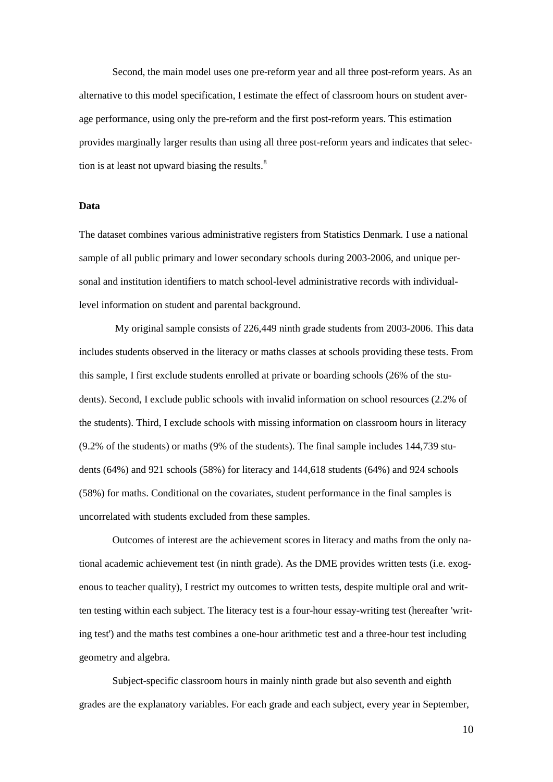Second, the main model uses one pre-reform year and all three post-reform years. As an alternative to this model specification, I estimate the effect of classroom hours on student average performance, using only the pre-reform and the first post-reform years. This estimation provides marginally larger results than using all three post-reform years and indicates that selection is at least not upward biasing the results. $8$ 

#### **Data**

The dataset combines various administrative registers from Statistics Denmark. I use a national sample of all public primary and lower secondary schools during 2003-2006, and unique personal and institution identifiers to match school-level administrative records with individuallevel information on student and parental background.

My original sample consists of 226,449 ninth grade students from 2003-2006. This data includes students observed in the literacy or maths classes at schools providing these tests. From this sample, I first exclude students enrolled at private or boarding schools (26% of the students). Second, I exclude public schools with invalid information on school resources (2.2% of the students). Third, I exclude schools with missing information on classroom hours in literacy (9.2% of the students) or maths (9% of the students). The final sample includes 144,739 students (64%) and 921 schools (58%) for literacy and 144,618 students (64%) and 924 schools (58%) for maths. Conditional on the covariates, student performance in the final samples is uncorrelated with students excluded from these samples.

Outcomes of interest are the achievement scores in literacy and maths from the only national academic achievement test (in ninth grade). As the DME provides written tests (i.e. exogenous to teacher quality), I restrict my outcomes to written tests, despite multiple oral and written testing within each subject. The literacy test is a four-hour essay-writing test (hereafter 'writing test') and the maths test combines a one-hour arithmetic test and a three-hour test including geometry and algebra.

Subject-specific classroom hours in mainly ninth grade but also seventh and eighth grades are the explanatory variables. For each grade and each subject, every year in September,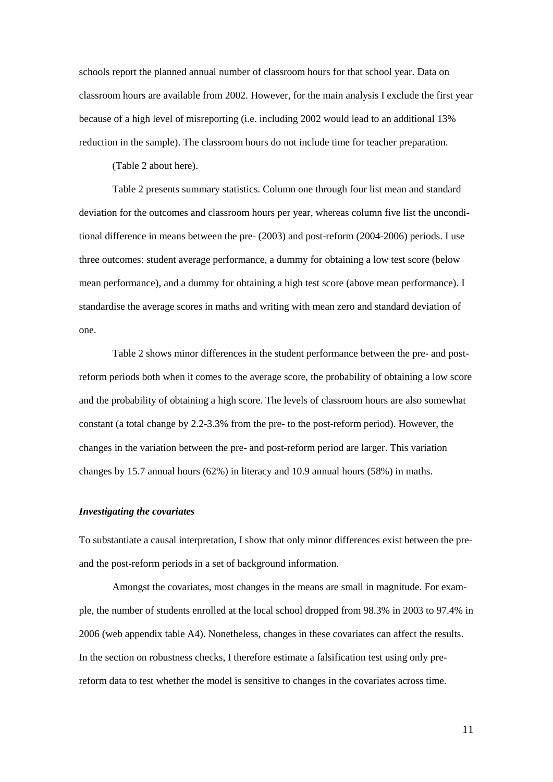schools report the planned annual number of classroom hours for that school year. Data on classroom hours are available from 2002. However, for the main analysis I exclude the first year because of a high level of misreporting (i.e. including 2002 would lead to an additional 13% reduction in the sample). The classroom hours do not include time for teacher preparation.

(Table 2 about here).

Table 2 presents summary statistics. Column one through four list mean and standard deviation for the outcomes and classroom hours per year, whereas column five list the unconditional difference in means between the pre- (2003) and post-reform (2004-2006) periods. I use three outcomes: student average performance, a dummy for obtaining a low test score (below mean performance), and a dummy for obtaining a high test score (above mean performance). I standardise the average scores in maths and writing with mean zero and standard deviation of one.

Table 2 shows minor differences in the student performance between the pre- and postreform periods both when it comes to the average score, the probability of obtaining a low score and the probability of obtaining a high score. The levels of classroom hours are also somewhat constant (a total change by 2.2-3.3% from the pre- to the post-reform period). However, the changes in the variation between the pre- and post-reform period are larger. This variation changes by 15.7 annual hours (62%) in literacy and 10.9 annual hours (58%) in maths.

#### *Investigating the covariates*

To substantiate a causal interpretation, I show that only minor differences exist between the preand the post-reform periods in a set of background information.

Amongst the covariates, most changes in the means are small in magnitude. For example, the number of students enrolled at the local school dropped from 98.3% in 2003 to 97.4% in 2006 (web appendix table A4). Nonetheless, changes in these covariates can affect the results. In the section on robustness checks, I therefore estimate a falsification test using only prereform data to test whether the model is sensitive to changes in the covariates across time.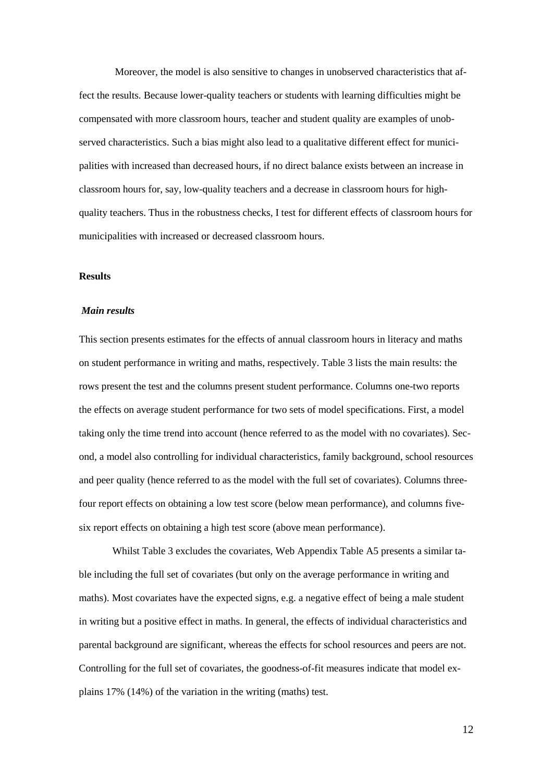Moreover, the model is also sensitive to changes in unobserved characteristics that affect the results. Because lower-quality teachers or students with learning difficulties might be compensated with more classroom hours, teacher and student quality are examples of unobserved characteristics. Such a bias might also lead to a qualitative different effect for municipalities with increased than decreased hours, if no direct balance exists between an increase in classroom hours for, say, low-quality teachers and a decrease in classroom hours for highquality teachers. Thus in the robustness checks, I test for different effects of classroom hours for municipalities with increased or decreased classroom hours.

#### **Results**

#### *Main results*

This section presents estimates for the effects of annual classroom hours in literacy and maths on student performance in writing and maths, respectively. Table 3 lists the main results: the rows present the test and the columns present student performance. Columns one-two reports the effects on average student performance for two sets of model specifications. First, a model taking only the time trend into account (hence referred to as the model with no covariates). Second, a model also controlling for individual characteristics, family background, school resources and peer quality (hence referred to as the model with the full set of covariates). Columns threefour report effects on obtaining a low test score (below mean performance), and columns fivesix report effects on obtaining a high test score (above mean performance).

Whilst Table 3 excludes the covariates, Web Appendix Table A5 presents a similar table including the full set of covariates (but only on the average performance in writing and maths). Most covariates have the expected signs, e.g. a negative effect of being a male student in writing but a positive effect in maths. In general, the effects of individual characteristics and parental background are significant, whereas the effects for school resources and peers are not. Controlling for the full set of covariates, the goodness-of-fit measures indicate that model explains 17% (14%) of the variation in the writing (maths) test.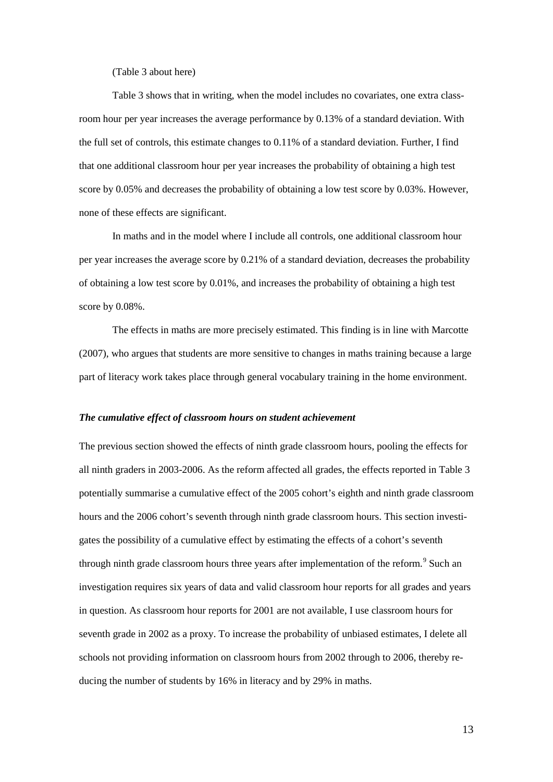(Table 3 about here)

Table 3 shows that in writing, when the model includes no covariates, one extra classroom hour per year increases the average performance by 0.13% of a standard deviation. With the full set of controls, this estimate changes to 0.11% of a standard deviation. Further, I find that one additional classroom hour per year increases the probability of obtaining a high test score by 0.05% and decreases the probability of obtaining a low test score by 0.03%. However, none of these effects are significant.

In maths and in the model where I include all controls, one additional classroom hour per year increases the average score by 0.21% of a standard deviation, decreases the probability of obtaining a low test score by 0.01%, and increases the probability of obtaining a high test score by 0.08%.

The effects in maths are more precisely estimated. This finding is in line with Marcotte (2007), who argues that students are more sensitive to changes in maths training because a large part of literacy work takes place through general vocabulary training in the home environment.

#### *The cumulative effect of classroom hours on student achievement*

The previous section showed the effects of ninth grade classroom hours, pooling the effects for all ninth graders in 2003-2006. As the reform affected all grades, the effects reported in Table 3 potentially summarise a cumulative effect of the 2005 cohort's eighth and ninth grade classroom hours and the 2006 cohort's seventh through ninth grade classroom hours. This section investigates the possibility of a cumulative effect by estimating the effects of a cohort's seventh through ninth grade classroom hours three years after implementation of the reform.<sup>[9](#page-22-1)</sup> Such an investigation requires six years of data and valid classroom hour reports for all grades and years in question. As classroom hour reports for 2001 are not available, I use classroom hours for seventh grade in 2002 as a proxy. To increase the probability of unbiased estimates, I delete all schools not providing information on classroom hours from 2002 through to 2006, thereby reducing the number of students by 16% in literacy and by 29% in maths.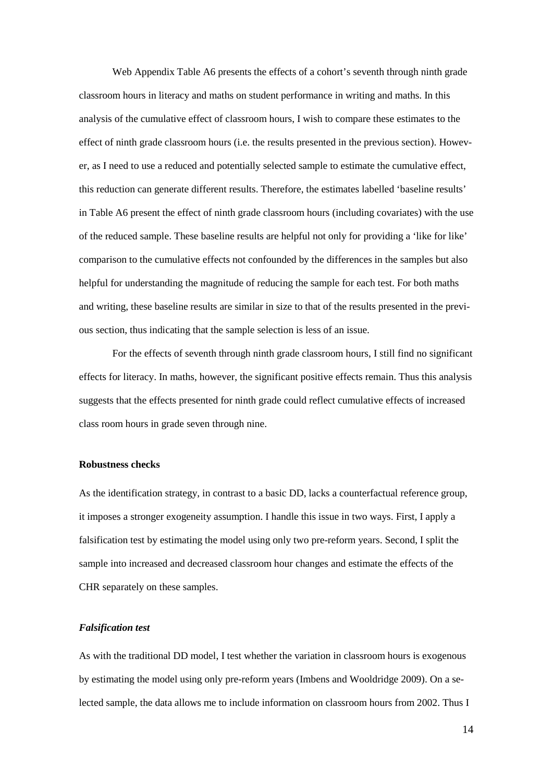Web Appendix Table A6 presents the effects of a cohort's seventh through ninth grade classroom hours in literacy and maths on student performance in writing and maths. In this analysis of the cumulative effect of classroom hours, I wish to compare these estimates to the effect of ninth grade classroom hours (i.e. the results presented in the previous section). However, as I need to use a reduced and potentially selected sample to estimate the cumulative effect, this reduction can generate different results. Therefore, the estimates labelled 'baseline results' in Table A6 present the effect of ninth grade classroom hours (including covariates) with the use of the reduced sample. These baseline results are helpful not only for providing a 'like for like' comparison to the cumulative effects not confounded by the differences in the samples but also helpful for understanding the magnitude of reducing the sample for each test. For both maths and writing, these baseline results are similar in size to that of the results presented in the previous section, thus indicating that the sample selection is less of an issue.

For the effects of seventh through ninth grade classroom hours, I still find no significant effects for literacy. In maths, however, the significant positive effects remain. Thus this analysis suggests that the effects presented for ninth grade could reflect cumulative effects of increased class room hours in grade seven through nine.

#### **Robustness checks**

As the identification strategy, in contrast to a basic DD, lacks a counterfactual reference group, it imposes a stronger exogeneity assumption. I handle this issue in two ways. First, I apply a falsification test by estimating the model using only two pre-reform years. Second, I split the sample into increased and decreased classroom hour changes and estimate the effects of the CHR separately on these samples.

#### *Falsification test*

As with the traditional DD model, I test whether the variation in classroom hours is exogenous by estimating the model using only pre-reform years (Imbens and Wooldridge 2009). On a selected sample, the data allows me to include information on classroom hours from 2002. Thus I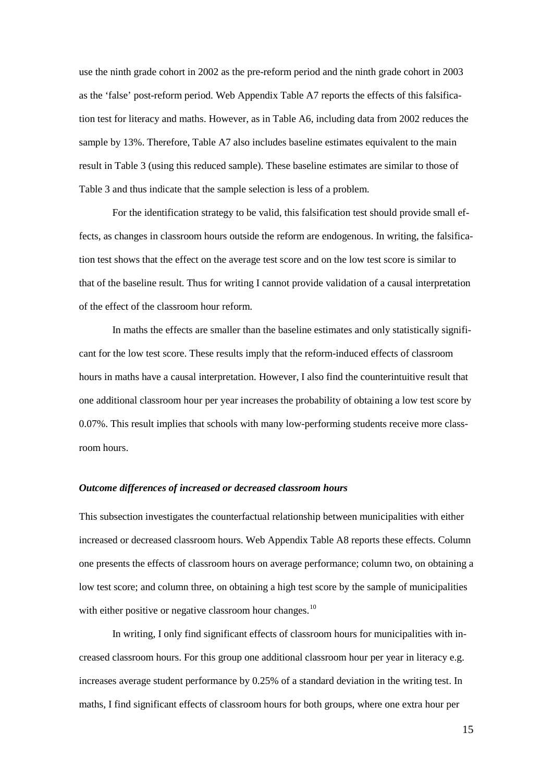use the ninth grade cohort in 2002 as the pre-reform period and the ninth grade cohort in 2003 as the 'false' post-reform period. Web Appendix Table A7 reports the effects of this falsification test for literacy and maths. However, as in Table A6, including data from 2002 reduces the sample by 13%. Therefore, Table A7 also includes baseline estimates equivalent to the main result in Table 3 (using this reduced sample). These baseline estimates are similar to those of Table 3 and thus indicate that the sample selection is less of a problem.

For the identification strategy to be valid, this falsification test should provide small effects, as changes in classroom hours outside the reform are endogenous. In writing, the falsification test shows that the effect on the average test score and on the low test score is similar to that of the baseline result. Thus for writing I cannot provide validation of a causal interpretation of the effect of the classroom hour reform.

In maths the effects are smaller than the baseline estimates and only statistically significant for the low test score. These results imply that the reform-induced effects of classroom hours in maths have a causal interpretation. However, I also find the counterintuitive result that one additional classroom hour per year increases the probability of obtaining a low test score by 0.07%. This result implies that schools with many low-performing students receive more classroom hours.

#### *Outcome differences of increased or decreased classroom hours*

This subsection investigates the counterfactual relationship between municipalities with either increased or decreased classroom hours. Web Appendix Table A8 reports these effects. Column one presents the effects of classroom hours on average performance; column two, on obtaining a low test score; and column three, on obtaining a high test score by the sample of municipalities with either positive or negative classroom hour changes.<sup>[10](#page-22-2)</sup>

In writing, I only find significant effects of classroom hours for municipalities with increased classroom hours. For this group one additional classroom hour per year in literacy e.g. increases average student performance by 0.25% of a standard deviation in the writing test. In maths, I find significant effects of classroom hours for both groups, where one extra hour per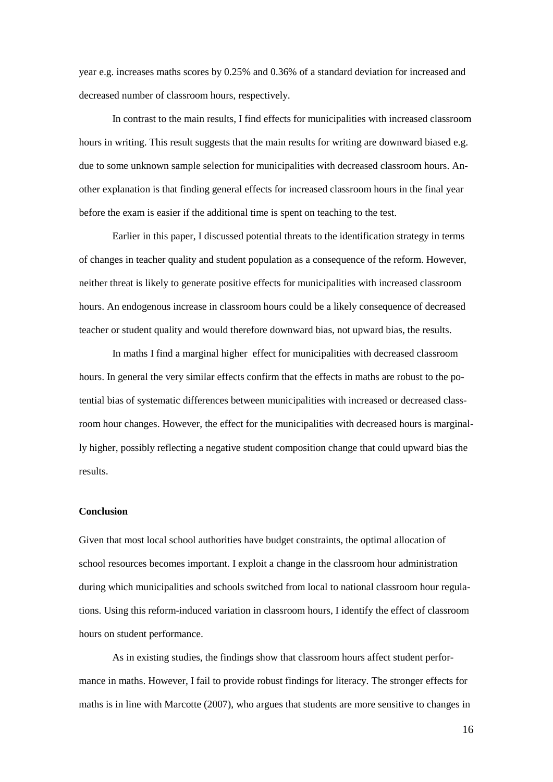year e.g. increases maths scores by 0.25% and 0.36% of a standard deviation for increased and decreased number of classroom hours, respectively.

In contrast to the main results, I find effects for municipalities with increased classroom hours in writing. This result suggests that the main results for writing are downward biased e.g. due to some unknown sample selection for municipalities with decreased classroom hours. Another explanation is that finding general effects for increased classroom hours in the final year before the exam is easier if the additional time is spent on teaching to the test.

Earlier in this paper, I discussed potential threats to the identification strategy in terms of changes in teacher quality and student population as a consequence of the reform. However, neither threat is likely to generate positive effects for municipalities with increased classroom hours. An endogenous increase in classroom hours could be a likely consequence of decreased teacher or student quality and would therefore downward bias, not upward bias, the results.

In maths I find a marginal higher effect for municipalities with decreased classroom hours. In general the very similar effects confirm that the effects in maths are robust to the potential bias of systematic differences between municipalities with increased or decreased classroom hour changes. However, the effect for the municipalities with decreased hours is marginally higher, possibly reflecting a negative student composition change that could upward bias the results.

#### **Conclusion**

Given that most local school authorities have budget constraints, the optimal allocation of school resources becomes important. I exploit a change in the classroom hour administration during which municipalities and schools switched from local to national classroom hour regulations. Using this reform-induced variation in classroom hours, I identify the effect of classroom hours on student performance.

As in existing studies, the findings show that classroom hours affect student performance in maths. However, I fail to provide robust findings for literacy. The stronger effects for maths is in line with Marcotte (2007), who argues that students are more sensitive to changes in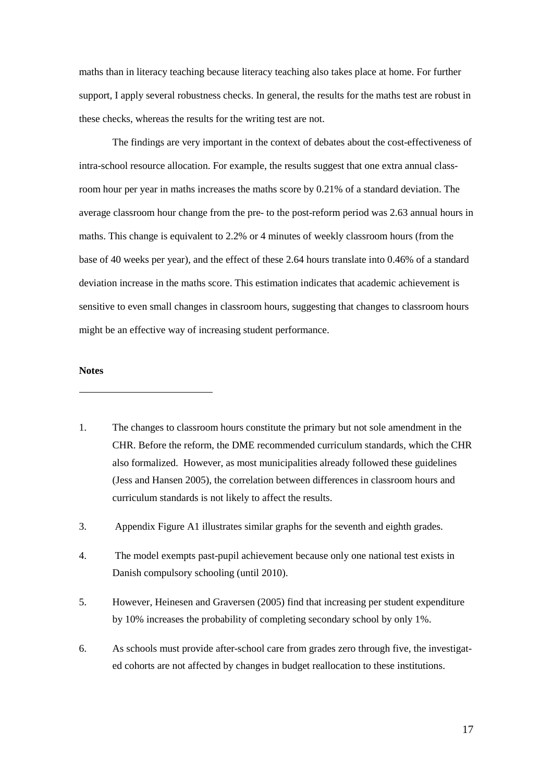maths than in literacy teaching because literacy teaching also takes place at home. For further support, I apply several robustness checks. In general, the results for the maths test are robust in these checks, whereas the results for the writing test are not.

The findings are very important in the context of debates about the cost-effectiveness of intra-school resource allocation. For example, the results suggest that one extra annual classroom hour per year in maths increases the maths score by 0.21% of a standard deviation. The average classroom hour change from the pre- to the post-reform period was 2.63 annual hours in maths. This change is equivalent to 2.2% or 4 minutes of weekly classroom hours (from the base of 40 weeks per year), and the effect of these 2.64 hours translate into 0.46% of a standard deviation increase in the maths score. This estimation indicates that academic achievement is sensitive to even small changes in classroom hours, suggesting that changes to classroom hours might be an effective way of increasing student performance.

#### **Notes**

 $\overline{a}$ 

- <span id="page-18-0"></span>1. The changes to classroom hours constitute the primary but not sole amendment in the CHR. Before the reform, the DME recommended curriculum standards, which the CHR also formalized. However, as most municipalities already followed these guidelines (Jess and Hansen 2005), the correlation between differences in classroom hours and curriculum standards is not likely to affect the results.
- <span id="page-18-1"></span>3. Appendix Figure A1 illustrates similar graphs for the seventh and eighth grades.
- 4. The model exempts past-pupil achievement because only one national test exists in Danish compulsory schooling (until 2010).
- 5. However, Heinesen and Graversen (2005) find that increasing per student expenditure by 10% increases the probability of completing secondary school by only 1%.
- 6. As schools must provide after-school care from grades zero through five, the investigated cohorts are not affected by changes in budget reallocation to these institutions.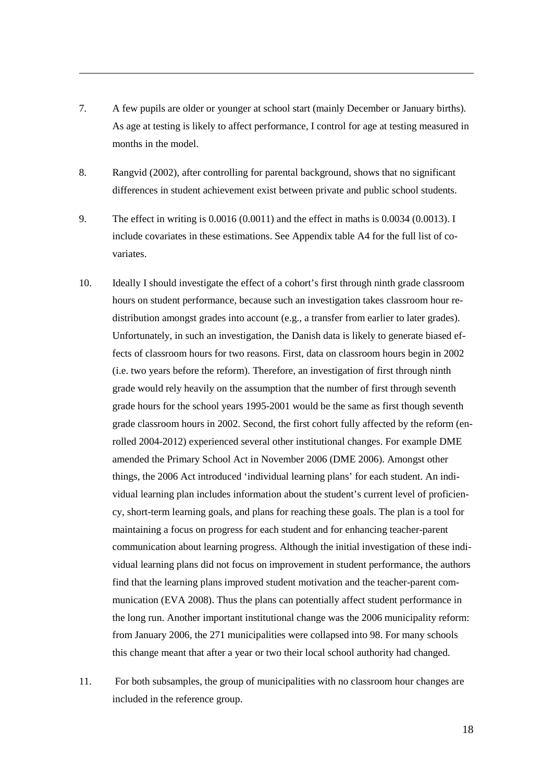7. A few pupils are older or younger at school start (mainly December or January births). As age at testing is likely to affect performance, I control for age at testing measured in months in the model.

-

- 8. Rangvid (2002), after controlling for parental background, shows that no significant differences in student achievement exist between private and public school students.
- 9. The effect in writing is 0.0016 (0.0011) and the effect in maths is 0.0034 (0.0013). I include covariates in these estimations. See Appendix table A4 for the full list of covariates.
- 10. Ideally I should investigate the effect of a cohort's first through ninth grade classroom hours on student performance, because such an investigation takes classroom hour redistribution amongst grades into account (e.g., a transfer from earlier to later grades). Unfortunately, in such an investigation, the Danish data is likely to generate biased effects of classroom hours for two reasons. First, data on classroom hours begin in 2002 (i.e. two years before the reform). Therefore, an investigation of first through ninth grade would rely heavily on the assumption that the number of first through seventh grade hours for the school years 1995-2001 would be the same as first though seventh grade classroom hours in 2002. Second, the first cohort fully affected by the reform (enrolled 2004-2012) experienced several other institutional changes. For example DME amended the Primary School Act in November 2006 (DME 2006). Amongst other things, the 2006 Act introduced 'individual learning plans' for each student. An individual learning plan includes information about the student's current level of proficiency, short-term learning goals, and plans for reaching these goals. The plan is a tool for maintaining a focus on progress for each student and for enhancing teacher-parent communication about learning progress. Although the initial investigation of these individual learning plans did not focus on improvement in student performance, the authors find that the learning plans improved student motivation and the teacher-parent communication (EVA 2008). Thus the plans can potentially affect student performance in the long run. Another important institutional change was the 2006 municipality reform: from January 2006, the 271 municipalities were collapsed into 98. For many schools this change meant that after a year or two their local school authority had changed.
- <span id="page-19-0"></span>11. For both subsamples, the group of municipalities with no classroom hour changes are included in the reference group.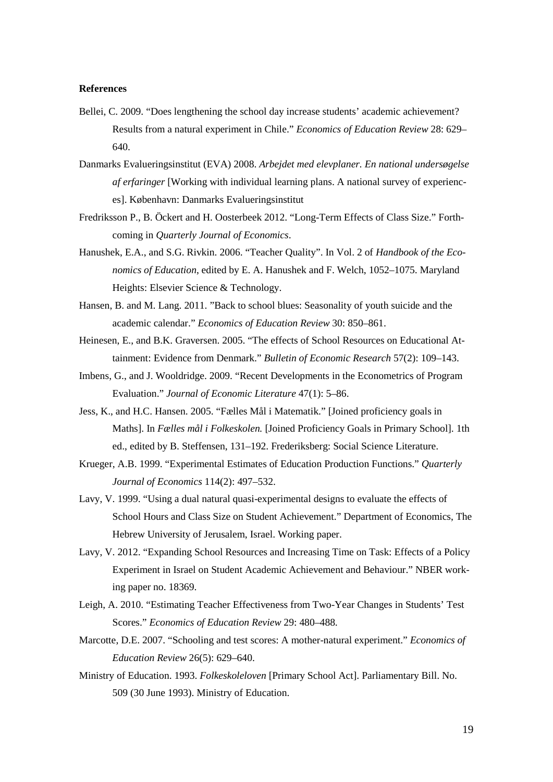#### **References**

- Bellei, C. 2009. "Does lengthening the school day increase students' academic achievement? Results from a natural experiment in Chile." *Economics of Education Review* 28: 629– 640.
- Danmarks Evalueringsinstitut (EVA) 2008. *Arbejdet med elevplaner. En national undersøgelse af erfaringer* [Working with individual learning plans. A national survey of experiences]. København: Danmarks Evalueringsinstitut
- Fredriksson P., B. Öckert and H. Oosterbeek 2012. "Long-Term Effects of Class Size." Forthcoming in *Quarterly Journal of Economics*.
- Hanushek, E.A., and S.G. Rivkin. 2006. "Teacher Quality". In Vol. 2 of *Handbook of the Economics of Education*, edited by E. A. Hanushek and F. Welch, 1052–1075. Maryland Heights: Elsevier Science & Technology.
- Hansen, B. and M. Lang. 2011. "Back to school blues: Seasonality of youth suicide and the academic calendar." *Economics of Education Review* 30: 850–861.
- Heinesen, E., and B.K. Graversen. 2005. "The effects of School Resources on Educational Attainment: Evidence from Denmark." *Bulletin of Economic Research* 57(2): 109–143.
- Imbens, G., and J. Wooldridge. 2009. "Recent Developments in the Econometrics of Program Evaluation." *Journal of Economic Literature* 47(1): 5–86.
- Jess, K., and H.C. Hansen. 2005. "Fælles Mål i Matematik." [Joined proficiency goals in Maths]. In *Fælles mål i Folkeskolen.* [Joined Proficiency Goals in Primary School]. 1th ed., edited by B. Steffensen, 131–192. Frederiksberg: Social Science Literature.
- Krueger, A.B. 1999. "Experimental Estimates of Education Production Functions." *Quarterly Journal of Economics* 114(2): 497–532.
- Lavy, V. 1999. "Using a dual natural quasi-experimental designs to evaluate the effects of School Hours and Class Size on Student Achievement." Department of Economics, The Hebrew University of Jerusalem, Israel. Working paper.
- Lavy, V. 2012. "Expanding School Resources and Increasing Time on Task: Effects of a Policy Experiment in Israel on Student Academic Achievement and Behaviour." NBER working paper no. 18369.
- <span id="page-20-0"></span>Leigh, A. 2010. "Estimating Teacher Effectiveness from Two-Year Changes in Students' Test Scores." *Economics of Education Review* 29: 480–488.
- <span id="page-20-1"></span>Marcotte, D.E. 2007. "Schooling and test scores: A mother-natural experiment." *Economics of Education Review* 26(5): 629–640.
- Ministry of Education. 1993. *Folkeskoleloven* [Primary School Act]. Parliamentary Bill. No. 509 (30 June 1993). Ministry of Education.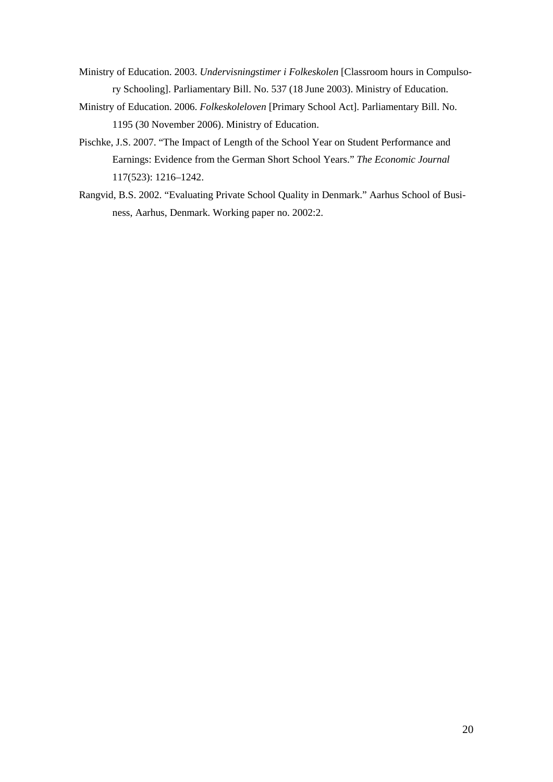- Ministry of Education. 2003. *Undervisningstimer i Folkeskolen* [Classroom hours in Compulsory Schooling]. Parliamentary Bill. No. 537 (18 June 2003). Ministry of Education.
- <span id="page-21-0"></span>Ministry of Education. 2006. *Folkeskoleloven* [Primary School Act]. Parliamentary Bill. No. 1195 (30 November 2006). Ministry of Education.
- Pischke, J.S. 2007. "The Impact of Length of the School Year on Student Performance and Earnings: Evidence from the German Short School Years." *The Economic Journal* 117(523): 1216–1242.
- <span id="page-21-1"></span>Rangvid, B.S. 2002. "Evaluating Private School Quality in Denmark." Aarhus School of Business, Aarhus, Denmark. Working paper no. 2002:2.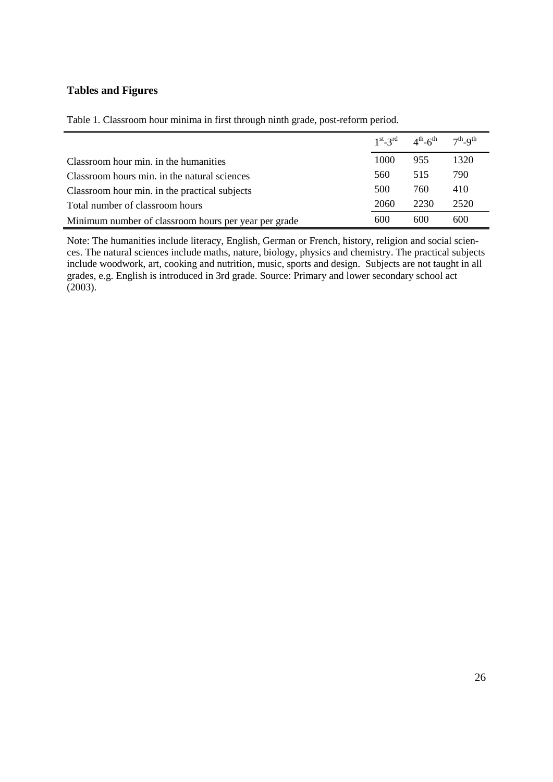## **Tables and Figures**

|                                                      |      | $1^{st} - 3^{rd}$ $4^{th} - 6^{th}$ $7^{th} - 9^{th}$ |      |
|------------------------------------------------------|------|-------------------------------------------------------|------|
| Classroom hour min. in the humanities                | 1000 | 955                                                   | 1320 |
| Classroom hours min, in the natural sciences         | 560  | 515                                                   | 790  |
| Classroom hour min. in the practical subjects        | 500  | 760                                                   | 410  |
| Total number of classroom hours                      | 2060 | 2230                                                  | 2520 |
| Minimum number of classroom hours per year per grade | 600  | 600                                                   | 600  |

Table 1. Classroom hour minima in first through ninth grade, post-reform period.

Note: The humanities include literacy, English, German or French, history, religion and social sciences. The natural sciences include maths, nature, biology, physics and chemistry. The practical subjects include woodwork, art, cooking and nutrition, music, sports and design. Subjects are not taught in all grades, e.g. English is introduced in 3rd grade. Source: Primary and lower secondary school act (2003).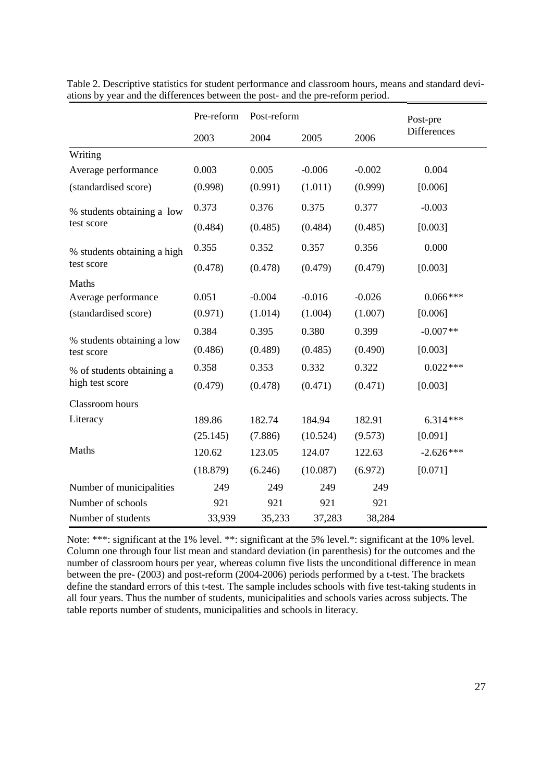|                             | Pre-reform | Post-reform |          | Post-pre |             |
|-----------------------------|------------|-------------|----------|----------|-------------|
|                             | 2003       | 2004        | 2005     | 2006     | Differences |
| Writing                     |            |             |          |          |             |
| Average performance         | 0.003      | 0.005       | $-0.006$ | $-0.002$ | 0.004       |
| (standardised score)        | (0.998)    | (0.991)     | (1.011)  | (0.999)  | [0.006]     |
| % students obtaining a low  | 0.373      | 0.376       | 0.375    | 0.377    | $-0.003$    |
| test score                  | (0.484)    | (0.485)     | (0.484)  | (0.485)  | [0.003]     |
| % students obtaining a high | 0.355      | 0.352       | 0.357    | 0.356    | 0.000       |
| test score                  | (0.478)    | (0.478)     | (0.479)  | (0.479)  | [0.003]     |
| Maths                       |            |             |          |          |             |
| Average performance         | 0.051      | $-0.004$    | $-0.016$ | $-0.026$ | $0.066***$  |
| (standardised score)        | (0.971)    | (1.014)     | (1.004)  | (1.007)  | [0.006]     |
| % students obtaining a low  | 0.384      | 0.395       | 0.380    | 0.399    | $-0.007**$  |
| test score                  | (0.486)    | (0.489)     | (0.485)  | (0.490)  | [0.003]     |
| % of students obtaining a   | 0.358      | 0.353       | 0.332    | 0.322    | $0.022***$  |
| high test score             | (0.479)    | (0.478)     | (0.471)  | (0.471)  | [0.003]     |
| Classroom hours             |            |             |          |          |             |
| Literacy                    | 189.86     | 182.74      | 184.94   | 182.91   | $6.314***$  |
|                             | (25.145)   | (7.886)     | (10.524) | (9.573)  | [0.091]     |
| Maths                       | 120.62     | 123.05      | 124.07   | 122.63   | $-2.626***$ |
|                             | (18.879)   | (6.246)     | (10.087) | (6.972)  | [0.071]     |
| Number of municipalities    | 249        | 249         | 249      | 249      |             |
| Number of schools           | 921        | 921         | 921      | 921      |             |
| Number of students          | 33,939     | 35,233      | 37,283   | 38,284   |             |

Table 2. Descriptive statistics for student performance and classroom hours, means and standard deviations by year and the differences between the post- and the pre-reform period.

Note: \*\*\*: significant at the 1% level. \*\*: significant at the 5% level.\*: significant at the 10% level. Column one through four list mean and standard deviation (in parenthesis) for the outcomes and the number of classroom hours per year, whereas column five lists the unconditional difference in mean between the pre- (2003) and post-reform (2004-2006) periods performed by a t-test. The brackets define the standard errors of this t-test. The sample includes schools with five test-taking students in all four years. Thus the number of students, municipalities and schools varies across subjects. The table reports number of students, municipalities and schools in literacy.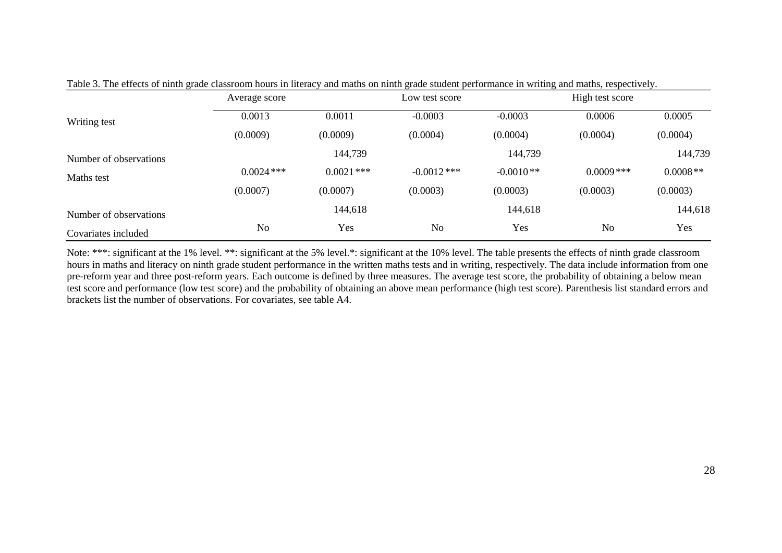|                        | Average score |              | Low test score |             | High test score |            |
|------------------------|---------------|--------------|----------------|-------------|-----------------|------------|
| Writing test           | 0.0013        | 0.0011       | $-0.0003$      | $-0.0003$   | 0.0006          | 0.0005     |
|                        | (0.0009)      | (0.0009)     | (0.0004)       | (0.0004)    | (0.0004)        | (0.0004)   |
| Number of observations |               | 144,739      |                | 144,739     |                 | 144,739    |
| Maths test             | $0.0024$ ***  | $0.0021$ *** | $-0.0012$ ***  | $-0.0010**$ | $0.0009$ ***    | $0.0008**$ |
|                        | (0.0007)      | (0.0007)     | (0.0003)       | (0.0003)    | (0.0003)        | (0.0003)   |
| Number of observations |               | 144,618      |                | 144,618     |                 | 144,618    |
| Covariates included    | No            | Yes          | No             | Yes         | N <sub>o</sub>  | Yes        |

Table 3. The effects of ninth grade classroom hours in literacy and maths on ninth grade student performance in writing and maths, respectively.

Note: \*\*\*: significant at the 1% level. \*\*: significant at the 5% level.\*: significant at the 10% level. The table presents the effects of ninth grade classroom hours in maths and literacy on ninth grade student performance in the written maths tests and in writing, respectively. The data include information from one pre-reform year and three post-reform years. Each outcome is defined by three measures. The average test score, the probability of obtaining a below mean test score and performance (low test score) and the probability of obtaining an above mean performance (high test score). Parenthesis list standard errors and brackets list the number of observations. For covariates, see table A4.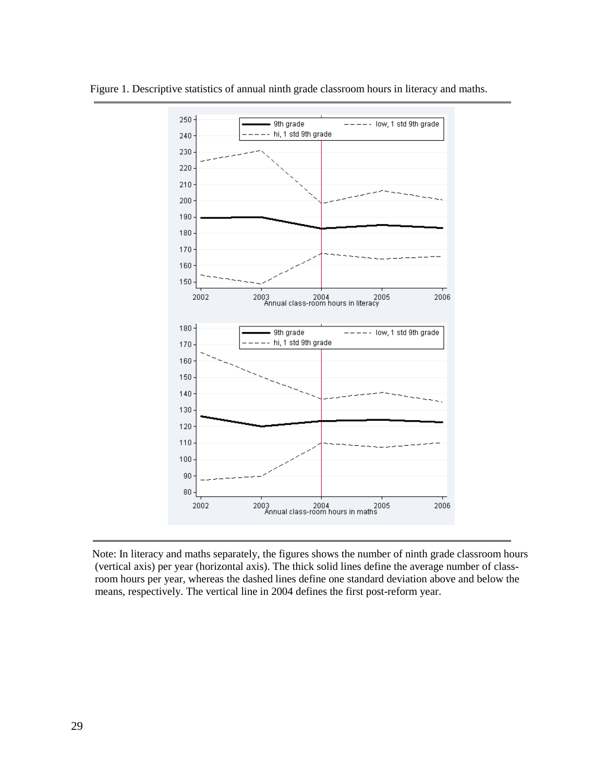

Figure 1. Descriptive statistics of annual ninth grade classroom hours in literacy and maths.

Note: In literacy and maths separately, the figures shows the number of ninth grade classroom hours (vertical axis) per year (horizontal axis). The thick solid lines define the average number of classroom hours per year, whereas the dashed lines define one standard deviation above and below the means, respectively. The vertical line in 2004 defines the first post-reform year.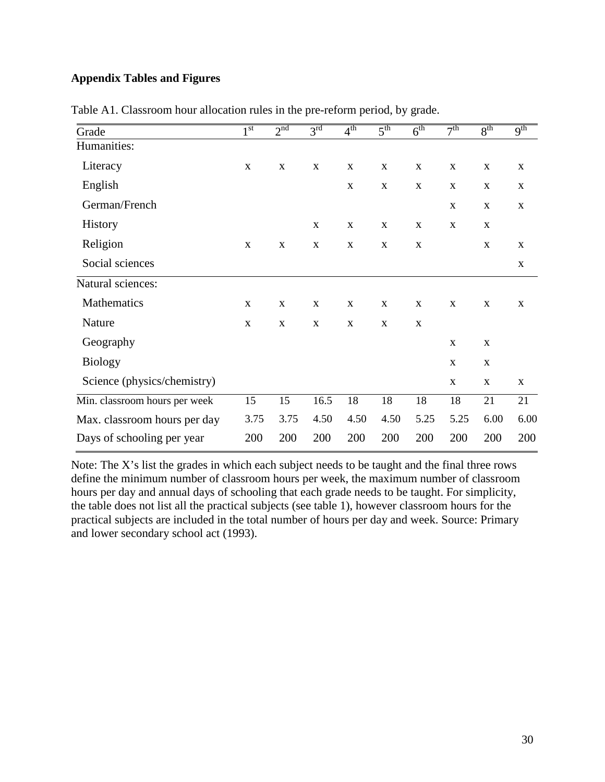### **Appendix Tables and Figures**

| Grade                         | 1 <sup>st</sup> | $2^{\overline{\text{nd}}}$ | $3^{\text{rd}}$ | 4 <sup>th</sup> | $5^{\text{th}}$ | $\overline{6^{th}}$ | $\overline{7^{th}}$ | 8 <sup>th</sup> | $\overline{9^{th}}$ |
|-------------------------------|-----------------|----------------------------|-----------------|-----------------|-----------------|---------------------|---------------------|-----------------|---------------------|
| Humanities:                   |                 |                            |                 |                 |                 |                     |                     |                 |                     |
| Literacy                      | $\mathbf X$     | X                          | X               | $\mathbf X$     | $\mathbf X$     | $\mathbf X$         | X                   | $\mathbf X$     | $\mathbf X$         |
| English                       |                 |                            |                 | $\mathbf X$     | $\mathbf X$     | X                   | X                   | $\mathbf X$     | $\mathbf X$         |
| German/French                 |                 |                            |                 |                 |                 |                     | $\mathbf X$         | $\mathbf X$     | $\mathbf X$         |
| History                       |                 |                            | $\mathbf X$     | $\mathbf X$     | $\mathbf X$     | $\mathbf X$         | $\mathbf X$         | X               |                     |
| Religion                      | $\mathbf X$     | $\mathbf X$                | $\mathbf X$     | $\mathbf X$     | $\mathbf X$     | $\mathbf X$         |                     | $\mathbf X$     | $\mathbf X$         |
| Social sciences               |                 |                            |                 |                 |                 |                     |                     |                 | $\mathbf X$         |
| Natural sciences:             |                 |                            |                 |                 |                 |                     |                     |                 |                     |
| Mathematics                   | $\mathbf X$     | $\mathbf X$                | $\mathbf X$     | $\mathbf X$     | $\mathbf X$     | $\mathbf X$         | $\mathbf X$         | $\mathbf X$     | $\mathbf X$         |
| Nature                        | X               | $\mathbf X$                | $\mathbf X$     | $\mathbf X$     | $\mathbf X$     | $\mathbf X$         |                     |                 |                     |
| Geography                     |                 |                            |                 |                 |                 |                     | $\mathbf X$         | $\mathbf X$     |                     |
| <b>Biology</b>                |                 |                            |                 |                 |                 |                     | $\mathbf X$         | X               |                     |
| Science (physics/chemistry)   |                 |                            |                 |                 |                 |                     | X                   | $\mathbf X$     | X                   |
| Min. classroom hours per week | 15              | 15                         | 16.5            | 18              | 18              | 18                  | 18                  | 21              | 21                  |
| Max. classroom hours per day  | 3.75            | 3.75                       | 4.50            | 4.50            | 4.50            | 5.25                | 5.25                | 6.00            | 6.00                |
| Days of schooling per year    | 200             | 200                        | 200             | 200             | 200             | 200                 | 200                 | 200             | 200                 |

Table A1. Classroom hour allocation rules in the pre-reform period, by grade.

Note: The X's list the grades in which each subject needs to be taught and the final three rows define the minimum number of classroom hours per week, the maximum number of classroom hours per day and annual days of schooling that each grade needs to be taught. For simplicity, the table does not list all the practical subjects (see table 1), however classroom hours for the practical subjects are included in the total number of hours per day and week. Source: Primary and lower secondary school act (1993).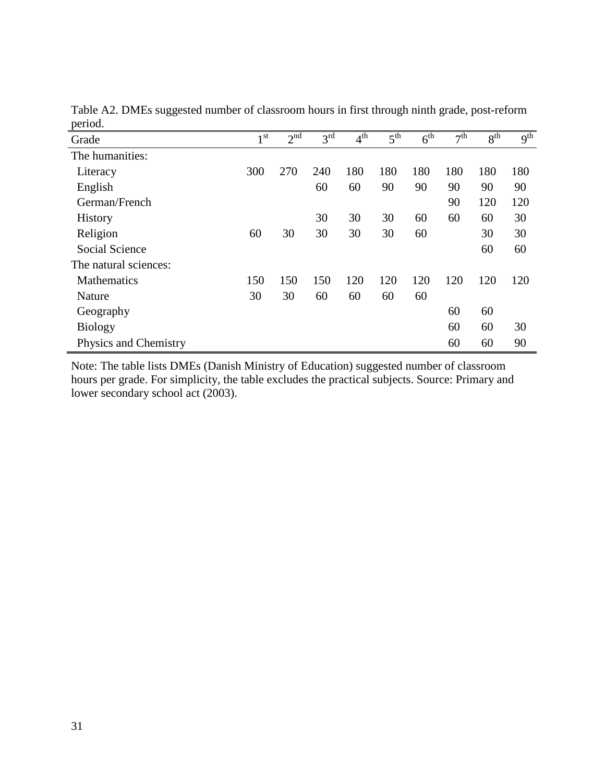| JULIUU.               |                 |                 |                 |                 |                 |              |          |                 |                 |
|-----------------------|-----------------|-----------------|-----------------|-----------------|-----------------|--------------|----------|-----------------|-----------------|
| Grade                 | 1 <sub>st</sub> | 2 <sup>nd</sup> | 3 <sup>rd</sup> | $4^{\text{th}}$ | $5^{\text{th}}$ | $6^{\rm th}$ | $7^{th}$ | $8^{\text{th}}$ | 9 <sup>th</sup> |
| The humanities:       |                 |                 |                 |                 |                 |              |          |                 |                 |
| Literacy              | 300             | 270             | 240             | 180             | 180             | 180          | 180      | 180             | 180             |
| English               |                 |                 | 60              | 60              | 90              | 90           | 90       | 90              | 90              |
| German/French         |                 |                 |                 |                 |                 |              | 90       | 120             | 120             |
| <b>History</b>        |                 |                 | 30              | 30              | 30              | 60           | 60       | 60              | 30              |
| Religion              | 60              | 30              | 30              | 30              | 30              | 60           |          | 30              | 30              |
| <b>Social Science</b> |                 |                 |                 |                 |                 |              |          | 60              | 60              |
| The natural sciences: |                 |                 |                 |                 |                 |              |          |                 |                 |
| <b>Mathematics</b>    | 150             | 150             | 150             | 120             | 120             | 120          | 120      | 120             | 120             |
| Nature                | 30              | 30              | 60              | 60              | 60              | 60           |          |                 |                 |
| Geography             |                 |                 |                 |                 |                 |              | 60       | 60              |                 |
| <b>Biology</b>        |                 |                 |                 |                 |                 |              | 60       | 60              | 30              |
| Physics and Chemistry |                 |                 |                 |                 |                 |              | 60       | 60              | 90              |

Table A2. DMEs suggested number of classroom hours in first through ninth grade, post-reform period.

Note: The table lists DMEs (Danish Ministry of Education) suggested number of classroom hours per grade. For simplicity, the table excludes the practical subjects. Source: Primary and lower secondary school act (2003).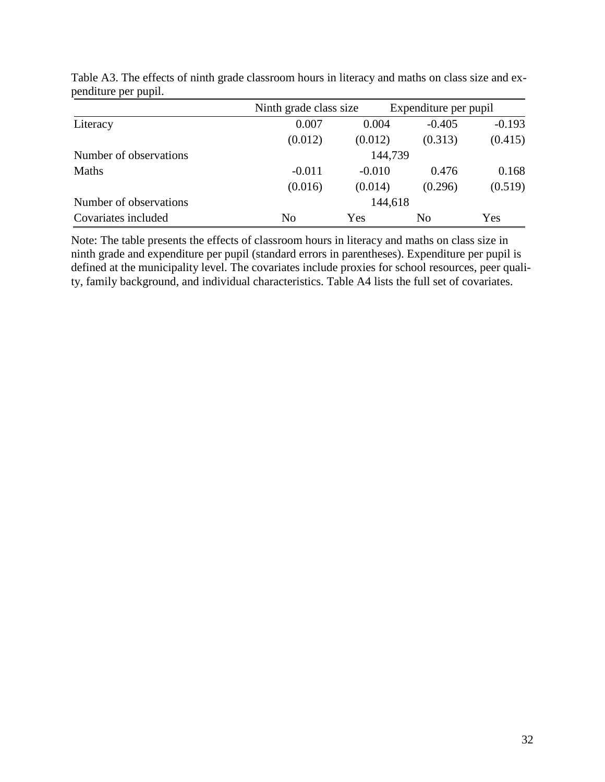|                        | Ninth grade class size |          | Expenditure per pupil |          |
|------------------------|------------------------|----------|-----------------------|----------|
| Literacy               | 0.007                  | 0.004    | $-0.405$              | $-0.193$ |
|                        | (0.012)                | (0.012)  | (0.313)               | (0.415)  |
| Number of observations |                        | 144,739  |                       |          |
| <b>Maths</b>           | $-0.011$               | $-0.010$ | 0.476                 | 0.168    |
|                        | (0.016)                | (0.014)  | (0.296)               | (0.519)  |
| Number of observations |                        | 144,618  |                       |          |
| Covariates included    | N <sub>0</sub>         | Yes      | No                    | Yes      |

Table A3. The effects of ninth grade classroom hours in literacy and maths on class size and expenditure per pupil.

Note: The table presents the effects of classroom hours in literacy and maths on class size in ninth grade and expenditure per pupil (standard errors in parentheses). Expenditure per pupil is defined at the municipality level. The covariates include proxies for school resources, peer quality, family background, and individual characteristics. Table A4 lists the full set of covariates.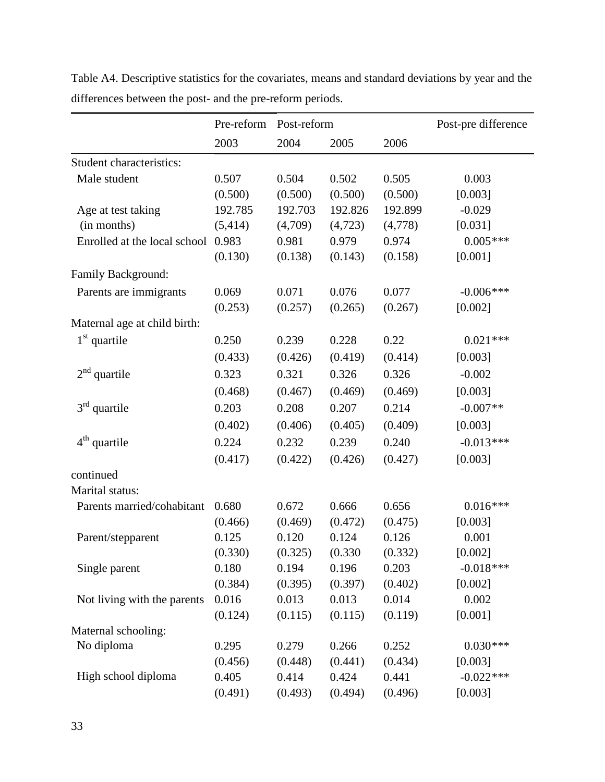|                              | Pre-reform | Post-reform |         | Post-pre difference |              |
|------------------------------|------------|-------------|---------|---------------------|--------------|
|                              | 2003       | 2004        | 2005    | 2006                |              |
| Student characteristics:     |            |             |         |                     |              |
| Male student                 | 0.507      | 0.504       | 0.502   | 0.505               | 0.003        |
|                              | (0.500)    | (0.500)     | (0.500) | (0.500)             | [0.003]      |
| Age at test taking           | 192.785    | 192.703     | 192.826 | 192.899             | $-0.029$     |
| (in months)                  | (5, 414)   | (4,709)     | (4,723) | (4,778)             | [0.031]      |
| Enrolled at the local school | 0.983      | 0.981       | 0.979   | 0.974               | $0.005***$   |
|                              | (0.130)    | (0.138)     | (0.143) | (0.158)             | [0.001]      |
| Family Background:           |            |             |         |                     |              |
| Parents are immigrants       | 0.069      | 0.071       | 0.076   | 0.077               | $-0.006***$  |
|                              | (0.253)    | (0.257)     | (0.265) | (0.267)             | [0.002]      |
| Maternal age at child birth: |            |             |         |                     |              |
| $1st$ quartile               | 0.250      | 0.239       | 0.228   | 0.22                | $0.021***$   |
|                              | (0.433)    | (0.426)     | (0.419) | (0.414)             | [0.003]      |
| $2nd$ quartile               | 0.323      | 0.321       | 0.326   | 0.326               | $-0.002$     |
|                              | (0.468)    | (0.467)     | (0.469) | (0.469)             | [0.003]      |
| $3rd$ quartile               | 0.203      | 0.208       | 0.207   | 0.214               | $-0.007**$   |
|                              | (0.402)    | (0.406)     | (0.405) | (0.409)             | [0.003]      |
| $4th$ quartile               | 0.224      | 0.232       | 0.239   | 0.240               | $-0.013***$  |
|                              | (0.417)    | (0.422)     | (0.426) | (0.427)             | [0.003]      |
| continued                    |            |             |         |                     |              |
| Marital status:              |            |             |         |                     |              |
| Parents married/cohabitant   | 0.680      | 0.672       | 0.666   | 0.656               | $0.016***$   |
|                              | (0.466)    | (0.469)     | (0.472) | (0.475)             | [0.003]      |
| Parent/stepparent            | 0.125      | 0.120       | 0.124   | 0.126               | 0.001        |
|                              | (0.330)    | (0.325)     | (0.330) | (0.332)             | [0.002]      |
| Single parent                | 0.180      | 0.194       | 0.196   | 0.203               | $-0.018***$  |
|                              | (0.384)    | (0.395)     | (0.397) | (0.402)             | [0.002]      |
| Not living with the parents  | 0.016      | 0.013       | 0.013   | 0.014               | 0.002        |
|                              | (0.124)    | (0.115)     | (0.115) | (0.119)             | [0.001]      |
| Maternal schooling:          |            |             |         |                     |              |
| No diploma                   | 0.295      | 0.279       | 0.266   | 0.252               | $0.030***$   |
|                              | (0.456)    | (0.448)     | (0.441) | (0.434)             | [0.003]      |
| High school diploma          | 0.405      | 0.414       | 0.424   | 0.441               | $-0.022$ *** |
|                              | (0.491)    | (0.493)     | (0.494) | (0.496)             | [0.003]      |

Table A4. Descriptive statistics for the covariates, means and standard deviations by year and the differences between the post- and the pre-reform periods.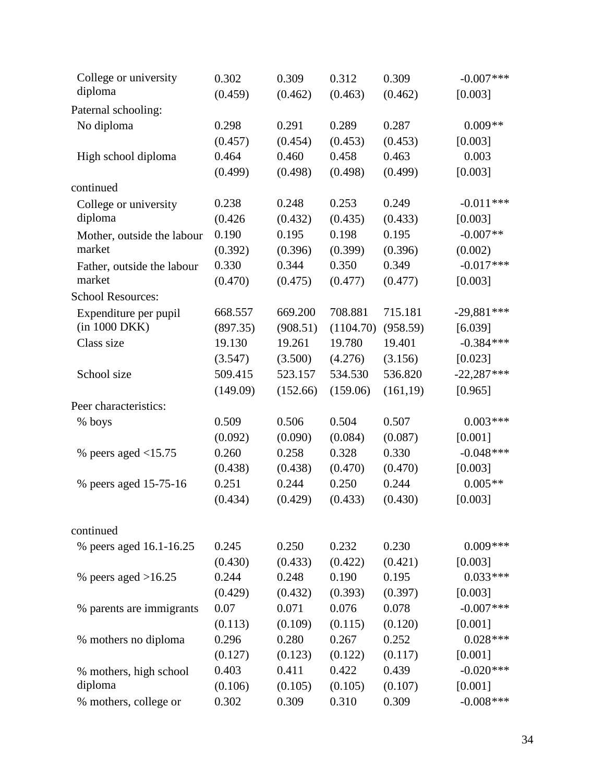| College or university<br>diploma | 0.302<br>(0.459) | 0.309<br>(0.462) | 0.312<br>(0.463) | 0.309<br>(0.462) | $-0.007$ ***<br>[0.003] |
|----------------------------------|------------------|------------------|------------------|------------------|-------------------------|
| Paternal schooling:              |                  |                  |                  |                  |                         |
| No diploma                       | 0.298            | 0.291            | 0.289            | 0.287            | $0.009**$               |
|                                  | (0.457)          | (0.454)          | (0.453)          | (0.453)          | [0.003]                 |
| High school diploma              | 0.464            | 0.460            | 0.458            | 0.463            | 0.003                   |
|                                  | (0.499)          | (0.498)          | (0.498)          | (0.499)          | [0.003]                 |
| continued                        |                  |                  |                  |                  |                         |
| College or university            | 0.238            | 0.248            | 0.253            | 0.249            | $-0.011$ ***            |
| diploma                          | (0.426)          | (0.432)          | (0.435)          | (0.433)          | [0.003]                 |
| Mother, outside the labour       | 0.190            | 0.195            | 0.198            | 0.195            | $-0.007**$              |
| market                           | (0.392)          | (0.396)          | (0.399)          | (0.396)          | (0.002)                 |
| Father, outside the labour       | 0.330            | 0.344            | 0.350            | 0.349            | $-0.017***$             |
| market                           | (0.470)          | (0.475)          | (0.477)          | (0.477)          | [0.003]                 |
| <b>School Resources:</b>         |                  |                  |                  |                  |                         |
| Expenditure per pupil            | 668.557          | 669.200          | 708.881          | 715.181          | $-29,881***$            |
| (in 1000 DKK)                    | (897.35)         | (908.51)         | (1104.70)        | (958.59)         | [6.039]                 |
| Class size                       | 19.130           | 19.261           | 19.780           | 19.401           | $-0.384***$             |
|                                  | (3.547)          | (3.500)          | (4.276)          | (3.156)          | [0.023]                 |
| School size                      | 509.415          | 523.157          | 534.530          | 536.820          | $-22,287***$            |
|                                  | (149.09)         | (152.66)         | (159.06)         | (161, 19)        | [0.965]                 |
| Peer characteristics:            |                  |                  |                  |                  |                         |
| % boys                           | 0.509            | 0.506            | 0.504            | 0.507            | $0.003$ ***             |
|                                  | (0.092)          | (0.090)          | (0.084)          | (0.087)          | [0.001]                 |
| % peers aged $<$ 15.75           | 0.260            | 0.258            | 0.328            | 0.330            | $-0.048$ ***            |
|                                  | (0.438)          | (0.438)          | (0.470)          | (0.470)          | [0.003]                 |
| % peers aged 15-75-16            | 0.251            | 0.244            | 0.250            | 0.244            | $0.005**$               |
|                                  | (0.434)          | (0.429)          | (0.433)          | (0.430)          | [0.003]                 |
| continued                        |                  |                  |                  |                  |                         |
| % peers aged 16.1-16.25          | 0.245            | 0.250            | 0.232            | 0.230            | $0.009***$              |
|                                  | (0.430)          | (0.433)          | (0.422)          | (0.421)          | [0.003]                 |
| % peers aged $>16.25$            | 0.244            | 0.248            | 0.190            | 0.195            | $0.033***$              |
|                                  | (0.429)          | (0.432)          | (0.393)          | (0.397)          | [0.003]                 |
| % parents are immigrants         | 0.07             | 0.071            | 0.076            | 0.078            | $-0.007$ ***            |
|                                  | (0.113)          | (0.109)          | (0.115)          | (0.120)          | [0.001]                 |
| % mothers no diploma             | 0.296            | 0.280            | 0.267            | 0.252            | $0.028***$              |
|                                  | (0.127)          | (0.123)          | (0.122)          | (0.117)          | [0.001]                 |
| % mothers, high school           | 0.403            | 0.411            | 0.422            | 0.439            | $-0.020$ ***            |
| diploma                          | (0.106)          | (0.105)          | (0.105)          | (0.107)          | [0.001]                 |
| % mothers, college or            | 0.302            | 0.309            | 0.310            | 0.309            | $-0.008$ ***            |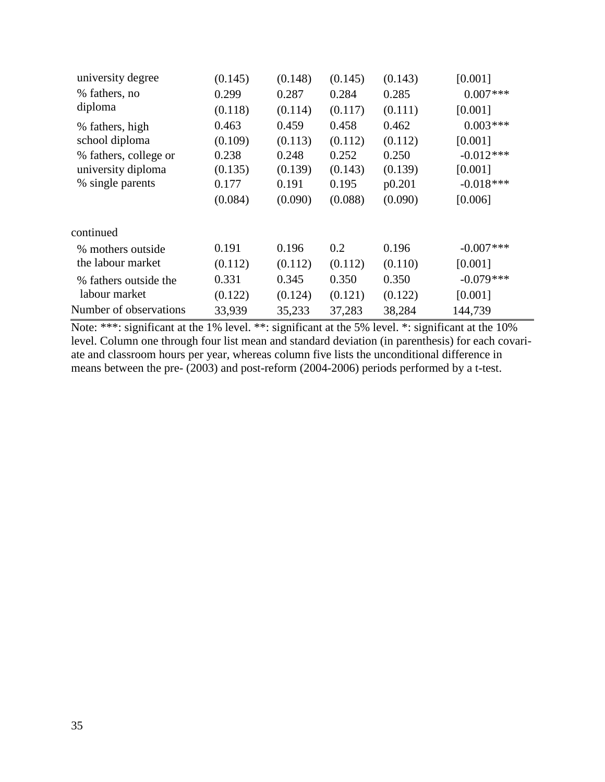| university degree      | (0.145) | (0.148) | (0.145) | (0.143) | [0.001]      |
|------------------------|---------|---------|---------|---------|--------------|
| % fathers, no          | 0.299   | 0.287   | 0.284   | 0.285   | $0.007$ ***  |
| diploma                | (0.118) | (0.114) | (0.117) | (0.111) | [0.001]      |
| % fathers, high        | 0.463   | 0.459   | 0.458   | 0.462   | $0.003***$   |
| school diploma         | (0.109) | (0.113) | (0.112) | (0.112) | [0.001]      |
| % fathers, college or  | 0.238   | 0.248   | 0.252   | 0.250   | $-0.012***$  |
| university diploma     | (0.135) | (0.139) | (0.143) | (0.139) | [0.001]      |
| % single parents       | 0.177   | 0.191   | 0.195   | p0.201  | $-0.018***$  |
|                        | (0.084) | (0.090) | (0.088) | (0.090) | [0.006]      |
| continued              |         |         |         |         |              |
| % mothers outside      | 0.191   | 0.196   | 0.2     | 0.196   | $-0.007$ *** |
| the labour market      | (0.112) | (0.112) | (0.112) | (0.110) | [0.001]      |
| % fathers outside the  | 0.331   | 0.345   | 0.350   | 0.350   | $-0.079***$  |
| labour market          | (0.122) | (0.124) | (0.121) | (0.122) | [0.001]      |
| Number of observations | 33,939  | 35,233  | 37,283  | 38,284  | 144,739      |

Note: \*\*\*: significant at the 1% level. \*\*: significant at the 5% level. \*: significant at the 10% level. Column one through four list mean and standard deviation (in parenthesis) for each covariate and classroom hours per year, whereas column five lists the unconditional difference in means between the pre- (2003) and post-reform (2004-2006) periods performed by a t-test.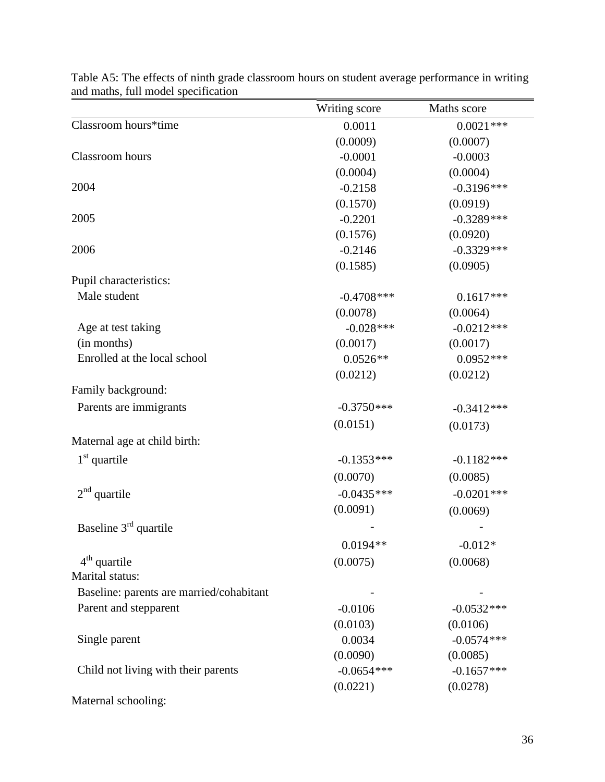|                                          | Writing score | Maths score   |
|------------------------------------------|---------------|---------------|
| Classroom hours*time                     | 0.0011        | $0.0021$ ***  |
|                                          | (0.0009)      | (0.0007)      |
| Classroom hours                          | $-0.0001$     | $-0.0003$     |
|                                          | (0.0004)      | (0.0004)      |
| 2004                                     | $-0.2158$     | $-0.3196***$  |
|                                          | (0.1570)      | (0.0919)      |
| 2005                                     | $-0.2201$     | $-0.3289***$  |
|                                          | (0.1576)      | (0.0920)      |
| 2006                                     | $-0.2146$     | $-0.3329***$  |
|                                          | (0.1585)      | (0.0905)      |
| Pupil characteristics:                   |               |               |
| Male student                             | $-0.4708$ *** | $0.1617***$   |
|                                          | (0.0078)      | (0.0064)      |
| Age at test taking                       | $-0.028$ ***  | $-0.0212***$  |
| (in months)                              | (0.0017)      | (0.0017)      |
| Enrolled at the local school             | $0.0526**$    | $0.0952***$   |
|                                          | (0.0212)      | (0.0212)      |
| Family background:                       |               |               |
| Parents are immigrants                   | $-0.3750$ *** | $-0.3412***$  |
|                                          | (0.0151)      | (0.0173)      |
| Maternal age at child birth:             |               |               |
| $1st$ quartile                           | $-0.1353***$  | $-0.1182***$  |
|                                          | (0.0070)      | (0.0085)      |
| $2nd$ quartile                           | $-0.0435***$  | $-0.0201$ *** |
|                                          | (0.0091)      |               |
|                                          |               | (0.0069)      |
| Baseline 3 <sup>rd</sup> quartile        |               |               |
|                                          | $0.0194**$    | $-0.012*$     |
| $4th$ quartile                           | (0.0075)      | (0.0068)      |
| Marital status:                          |               |               |
| Baseline: parents are married/cohabitant |               |               |
| Parent and stepparent                    | $-0.0106$     | $-0.0532***$  |
|                                          | (0.0103)      | (0.0106)      |
| Single parent                            | 0.0034        | $-0.0574$ *** |
|                                          | (0.0090)      | (0.0085)      |
| Child not living with their parents      | $-0.0654***$  | $-0.1657***$  |
|                                          | (0.0221)      | (0.0278)      |
| Maternal schooling:                      |               |               |

Table A5: The effects of ninth grade classroom hours on student average performance in writing and maths, full model specification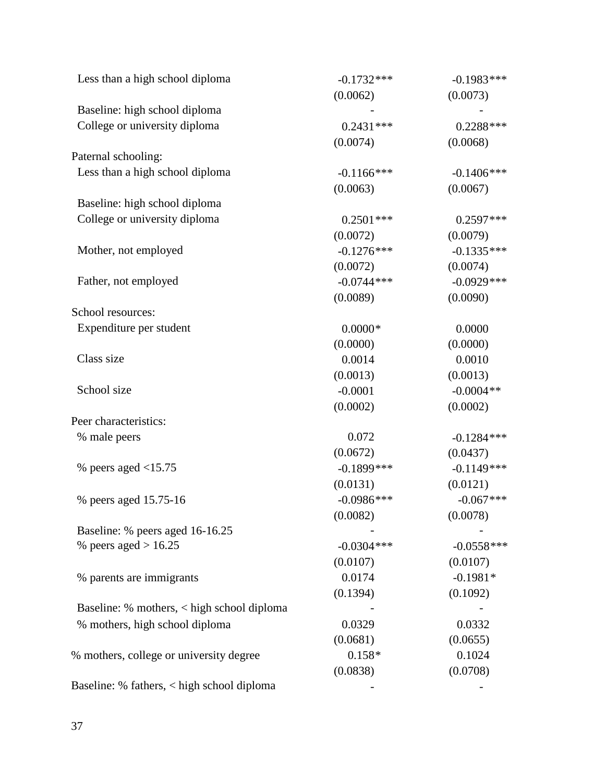| Less than a high school diploma            | $-0.1732$ *** | $-0.1983$ *** |
|--------------------------------------------|---------------|---------------|
|                                            | (0.0062)      | (0.0073)      |
| Baseline: high school diploma              |               |               |
| College or university diploma              | $0.2431***$   | $0.2288***$   |
|                                            | (0.0074)      | (0.0068)      |
| Paternal schooling:                        |               |               |
| Less than a high school diploma            | $-0.1166$ *** | $-0.1406$ *** |
|                                            | (0.0063)      | (0.0067)      |
| Baseline: high school diploma              |               |               |
| College or university diploma              | $0.2501$ ***  | $0.2597***$   |
|                                            | (0.0072)      | (0.0079)      |
| Mother, not employed                       | $-0.1276***$  | $-0.1335***$  |
|                                            | (0.0072)      | (0.0074)      |
| Father, not employed                       | $-0.0744$ *** | $-0.0929***$  |
|                                            | (0.0089)      | (0.0090)      |
| School resources:                          |               |               |
| Expenditure per student                    | $0.0000*$     | 0.0000        |
|                                            | (0.0000)      | (0.0000)      |
| Class size                                 | 0.0014        | 0.0010        |
|                                            | (0.0013)      | (0.0013)      |
| School size                                | $-0.0001$     | $-0.0004**$   |
|                                            | (0.0002)      | (0.0002)      |
| Peer characteristics:                      |               |               |
| % male peers                               | 0.072         | $-0.1284$ *** |
|                                            | (0.0672)      | (0.0437)      |
| % peers aged $<$ 15.75                     | $-0.1899$ *** | $-0.1149***$  |
|                                            | (0.0131)      | (0.0121)      |
| % peers aged 15.75-16                      | $-0.0986***$  | $-0.067***$   |
|                                            | (0.0082)      | (0.0078)      |
| Baseline: % peers aged 16-16.25            |               |               |
| % peers aged $> 16.25$                     | $-0.0304$ *** | $-0.0558$ *** |
|                                            | (0.0107)      | (0.0107)      |
| % parents are immigrants                   | 0.0174        | $-0.1981*$    |
|                                            | (0.1394)      | (0.1092)      |
| Baseline: % mothers, < high school diploma |               |               |
| % mothers, high school diploma             | 0.0329        | 0.0332        |
|                                            | (0.0681)      | (0.0655)      |
| % mothers, college or university degree    | $0.158*$      | 0.1024        |
|                                            | (0.0838)      | (0.0708)      |
| Baseline: % fathers, < high school diploma |               |               |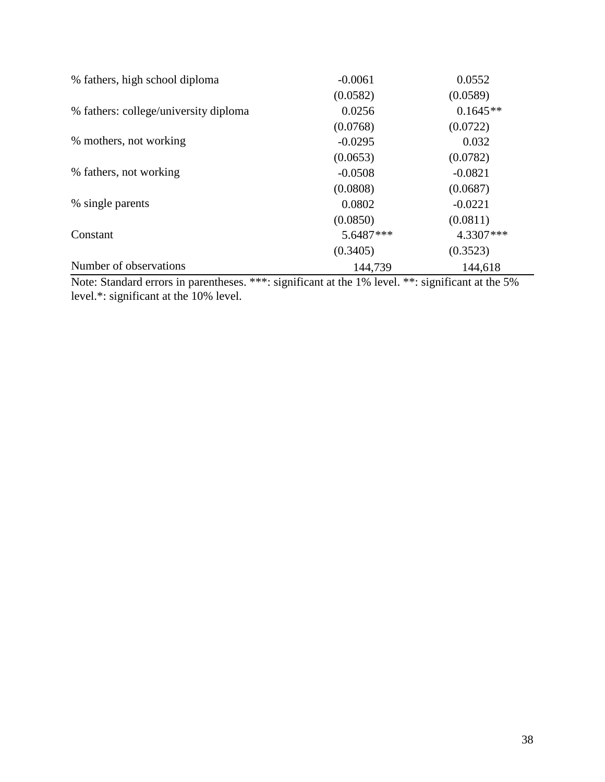| % fathers, high school diploma        | $-0.0061$ | 0.0552     |
|---------------------------------------|-----------|------------|
|                                       | (0.0582)  | (0.0589)   |
| % fathers: college/university diploma | 0.0256    | $0.1645**$ |
|                                       | (0.0768)  | (0.0722)   |
| % mothers, not working                | $-0.0295$ | 0.032      |
|                                       | (0.0653)  | (0.0782)   |
| % fathers, not working                | $-0.0508$ | $-0.0821$  |
|                                       | (0.0808)  | (0.0687)   |
| % single parents                      | 0.0802    | $-0.0221$  |
|                                       | (0.0850)  | (0.0811)   |
| Constant                              | 5.6487*** | 4.3307***  |
|                                       | (0.3405)  | (0.3523)   |
| Number of observations                | 144,739   | 144,618    |

Note: Standard errors in parentheses. \*\*\*: significant at the 1% level. \*\*: significant at the 5% level.\*: significant at the 10% level.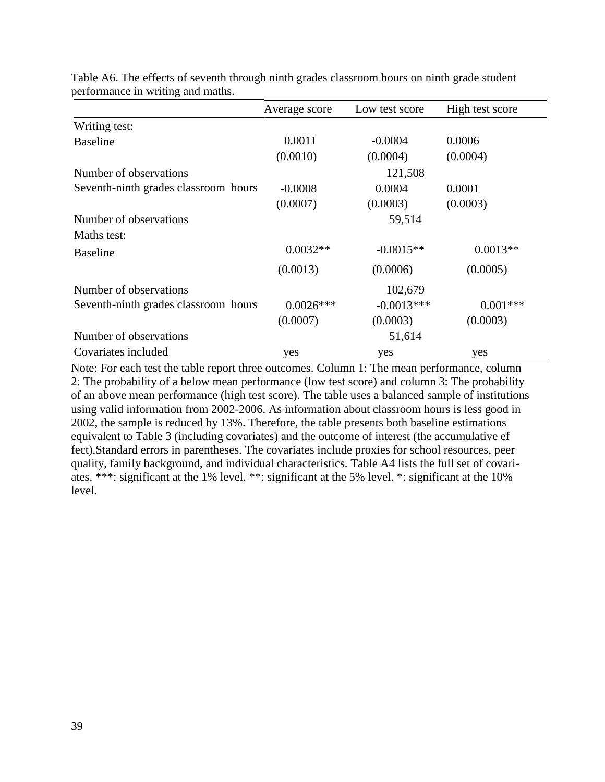|                                      | Average score | Low test score | High test score |  |  |
|--------------------------------------|---------------|----------------|-----------------|--|--|
| Writing test:                        |               |                |                 |  |  |
| <b>Baseline</b>                      | 0.0011        | $-0.0004$      | 0.0006          |  |  |
|                                      | (0.0010)      | (0.0004)       | (0.0004)        |  |  |
| Number of observations               | 121,508       |                |                 |  |  |
| Seventh-ninth grades classroom hours | $-0.0008$     | 0.0004         | 0.0001          |  |  |
|                                      | (0.0007)      | (0.0003)       | (0.0003)        |  |  |
| Number of observations               | 59,514        |                |                 |  |  |
| Maths test:                          |               |                |                 |  |  |
| <b>Baseline</b>                      | $0.0032**$    | $-0.0015**$    | $0.0013**$      |  |  |
|                                      | (0.0013)      | (0.0006)       | (0.0005)        |  |  |
| Number of observations               |               | 102,679        |                 |  |  |
| Seventh-ninth grades classroom hours | $0.0026***$   | $-0.0013***$   | $0.001***$      |  |  |
|                                      | (0.0007)      | (0.0003)       | (0.0003)        |  |  |
| Number of observations               |               | 51,614         |                 |  |  |
| Covariates included                  | yes           | yes            | yes             |  |  |

Table A6. The effects of seventh through ninth grades classroom hours on ninth grade student performance in writing and maths.

Note: For each test the table report three outcomes. Column 1: The mean performance, column 2: The probability of a below mean performance (low test score) and column 3: The probability of an above mean performance (high test score). The table uses a balanced sample of institutions using valid information from 2002-2006. As information about classroom hours is less good in 2002, the sample is reduced by 13%. Therefore, the table presents both baseline estimations equivalent to Table 3 (including covariates) and the outcome of interest (the accumulative ef fect).Standard errors in parentheses. The covariates include proxies for school resources, peer quality, family background, and individual characteristics. Table A4 lists the full set of covariates. \*\*\*: significant at the 1% level. \*\*: significant at the 5% level. \*: significant at the 10% level.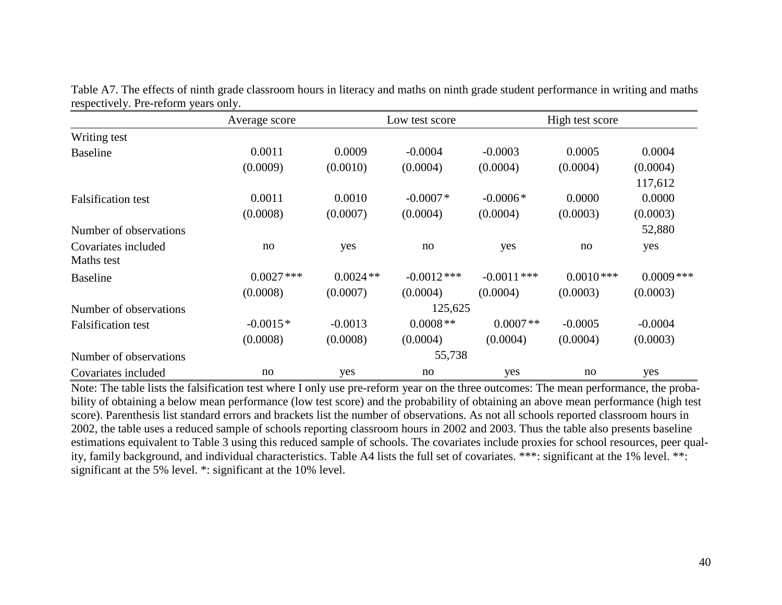|                           | Average score |            | Low test score |               | High test score |              |
|---------------------------|---------------|------------|----------------|---------------|-----------------|--------------|
| Writing test              |               |            |                |               |                 |              |
| <b>Baseline</b>           | 0.0011        | 0.0009     | $-0.0004$      | $-0.0003$     | 0.0005          | 0.0004       |
|                           | (0.0009)      | (0.0010)   | (0.0004)       | (0.0004)      | (0.0004)        | (0.0004)     |
|                           |               |            |                |               |                 | 117,612      |
| <b>Falsification test</b> | 0.0011        | 0.0010     | $-0.0007*$     | $-0.0006*$    | 0.0000          | 0.0000       |
|                           | (0.0008)      | (0.0007)   | (0.0004)       | (0.0004)      | (0.0003)        | (0.0003)     |
| Number of observations    |               |            |                |               |                 | 52,880       |
| Covariates included       | no            | yes        | no             | yes           | no              | yes          |
| Maths test                |               |            |                |               |                 |              |
| <b>Baseline</b>           | $0.0027$ ***  | $0.0024**$ | $-0.0012$ ***  | $-0.0011$ *** | $0.0010$ ***    | $0.0009$ *** |
|                           | (0.0008)      | (0.0007)   | (0.0004)       | (0.0004)      | (0.0003)        | (0.0003)     |
| Number of observations    |               | 125,625    |                |               |                 |              |
| <b>Falsification test</b> | $-0.0015*$    | $-0.0013$  | $0.0008**$     | $0.0007**$    | $-0.0005$       | $-0.0004$    |
|                           | (0.0008)      | (0.0008)   | (0.0004)       | (0.0004)      | (0.0004)        | (0.0003)     |
| Number of observations    | 55,738        |            |                |               |                 |              |
| Covariates included       | no            | yes        | no             | yes           | no              | yes          |

Table A7. The effects of ninth grade classroom hours in literacy and maths on ninth grade student performance in writing and maths respectively. Pre-reform years only.

Note: The table lists the falsification test where I only use pre-reform year on the three outcomes: The mean performance, the probability of obtaining a below mean performance (low test score) and the probability of obtaining an above mean performance (high test score). Parenthesis list standard errors and brackets list the number of observations. As not all schools reported classroom hours in 2002, the table uses a reduced sample of schools reporting classroom hours in 2002 and 2003. Thus the table also presents baseline estimations equivalent to Table 3 using this reduced sample of schools. The covariates include proxies for school resources, peer quality, family background, and individual characteristics. Table A4 lists the full set of covariates. \*\*\*: significant at the 1% level. \*\*: significant at the 5% level. \*: significant at the 10% level.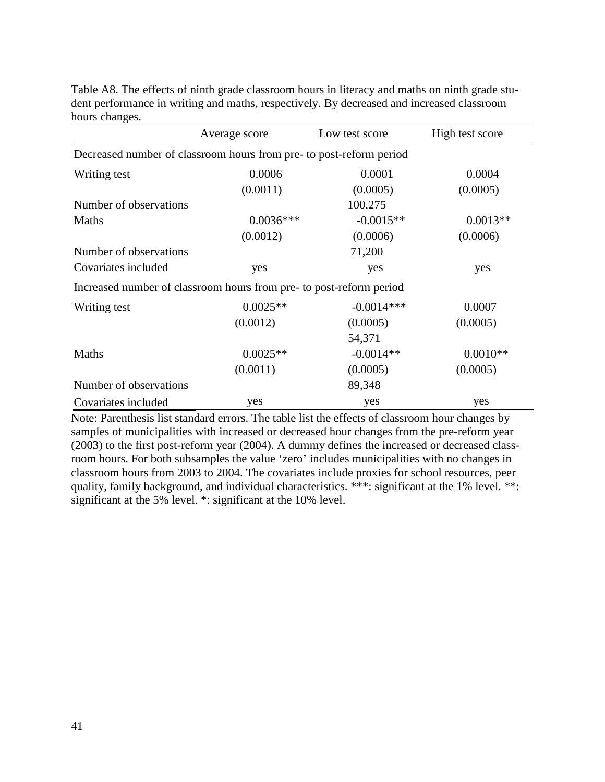|                                                                     | Average score | Low test score | High test score |  |  |  |  |
|---------------------------------------------------------------------|---------------|----------------|-----------------|--|--|--|--|
| Decreased number of classroom hours from pre- to post-reform period |               |                |                 |  |  |  |  |
| Writing test                                                        | 0.0006        | 0.0001         | 0.0004          |  |  |  |  |
|                                                                     | (0.0011)      | (0.0005)       | (0.0005)        |  |  |  |  |
| Number of observations                                              |               | 100,275        |                 |  |  |  |  |
| Maths                                                               | $0.0036***$   | $-0.0015**$    | $0.0013**$      |  |  |  |  |
|                                                                     | (0.0012)      | (0.0006)       | (0.0006)        |  |  |  |  |
| Number of observations                                              |               | 71,200         |                 |  |  |  |  |
| Covariates included                                                 | yes           | yes            | yes             |  |  |  |  |
| Increased number of classroom hours from pre- to post-reform period |               |                |                 |  |  |  |  |
| Writing test                                                        | $0.0025**$    | $-0.0014***$   | 0.0007          |  |  |  |  |
|                                                                     | (0.0012)      | (0.0005)       | (0.0005)        |  |  |  |  |
|                                                                     |               | 54,371         |                 |  |  |  |  |
| Maths                                                               | $0.0025**$    | $-0.0014**$    | $0.0010**$      |  |  |  |  |
|                                                                     | (0.0011)      | (0.0005)       | (0.0005)        |  |  |  |  |
| Number of observations                                              |               | 89,348         |                 |  |  |  |  |
| Covariates included                                                 | yes           | yes            | yes             |  |  |  |  |

Table A8. The effects of ninth grade classroom hours in literacy and maths on ninth grade student performance in writing and maths, respectively. By decreased and increased classroom hours changes.

Note: Parenthesis list standard errors. The table list the effects of classroom hour changes by samples of municipalities with increased or decreased hour changes from the pre-reform year (2003) to the first post-reform year (2004). A dummy defines the increased or decreased classroom hours. For both subsamples the value 'zero' includes municipalities with no changes in classroom hours from 2003 to 2004. The covariates include proxies for school resources, peer quality, family background, and individual characteristics. \*\*\*: significant at the 1% level. \*\*: significant at the 5% level. \*: significant at the 10% level.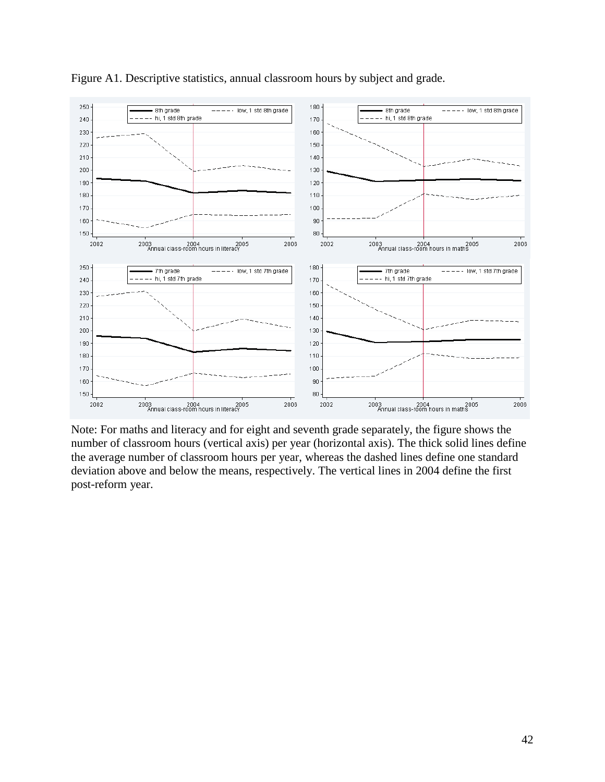

Figure A1. Descriptive statistics, annual classroom hours by subject and grade.

Note: For maths and literacy and for eight and seventh grade separately, the figure shows the number of classroom hours (vertical axis) per year (horizontal axis). The thick solid lines define the average number of classroom hours per year, whereas the dashed lines define one standard deviation above and below the means, respectively. The vertical lines in 2004 define the first post-reform year.